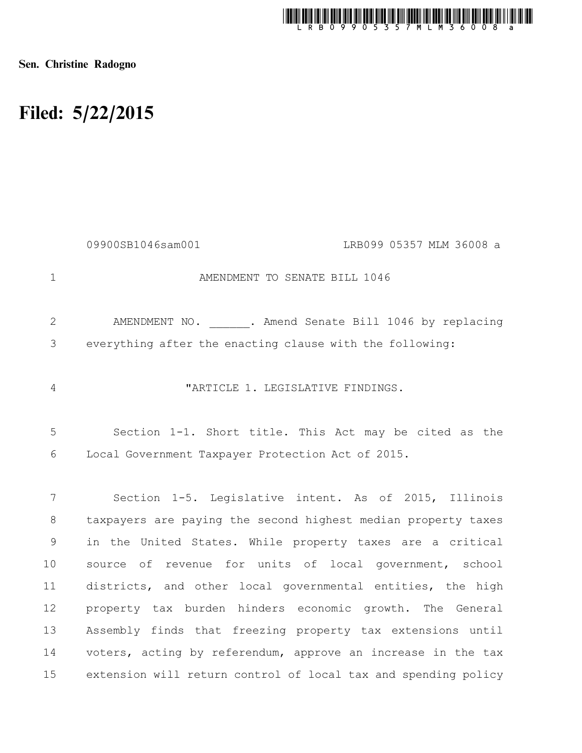

Sen. Christine Radogno

## Filed: 5/22/2015

|               | LRB099 05357 MLM 36008 a<br>09900SB1046sam001                  |
|---------------|----------------------------------------------------------------|
| $\mathbf 1$   | AMENDMENT TO SENATE BILL 1046                                  |
| 2             | AMENDMENT NO. ______. Amend Senate Bill 1046 by replacing      |
| 3             | everything after the enacting clause with the following:       |
| 4             | "ARTICLE 1. LEGISLATIVE FINDINGS.                              |
| 5             | Section 1-1. Short title. This Act may be cited as the         |
| 6             | Local Government Taxpayer Protection Act of 2015.              |
|               |                                                                |
| 7             | Section 1-5. Legislative intent. As of 2015, Illinois          |
| $8\,$         | taxpayers are paying the second highest median property taxes  |
| $\mathcal{G}$ | in the United States. While property taxes are a critical      |
| 10            | source of revenue for units of local government, school        |
| 11            | districts, and other local governmental entities, the high     |
| 12            | property tax burden hinders economic growth. The General       |
| 13            | Assembly finds that freezing property tax extensions until     |
| 14            | voters, acting by referendum, approve an increase in the tax   |
| 15            | extension will return control of local tax and spending policy |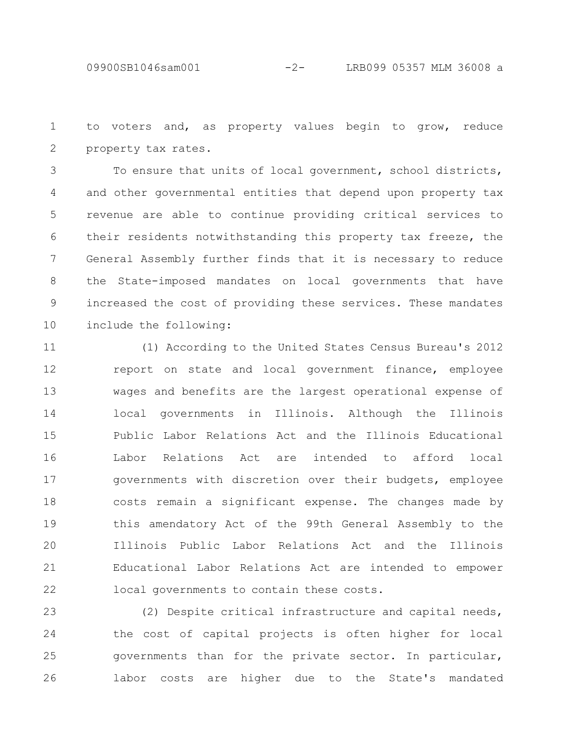to voters and, as property values begin to grow, reduce property tax rates. 1 2

To ensure that units of local government, school districts, and other governmental entities that depend upon property tax revenue are able to continue providing critical services to their residents notwithstanding this property tax freeze, the General Assembly further finds that it is necessary to reduce the State-imposed mandates on local governments that have increased the cost of providing these services. These mandates include the following: 3 4 5 6 7 8 9 10

(1) According to the United States Census Bureau's 2012 report on state and local government finance, employee wages and benefits are the largest operational expense of local governments in Illinois. Although the Illinois Public Labor Relations Act and the Illinois Educational Labor Relations Act are intended to afford local governments with discretion over their budgets, employee costs remain a significant expense. The changes made by this amendatory Act of the 99th General Assembly to the Illinois Public Labor Relations Act and the Illinois Educational Labor Relations Act are intended to empower local governments to contain these costs. 11 12 13 14 15 16 17 18 19 20 21 22

(2) Despite critical infrastructure and capital needs, the cost of capital projects is often higher for local governments than for the private sector. In particular, labor costs are higher due to the State's mandated 23 24 25 26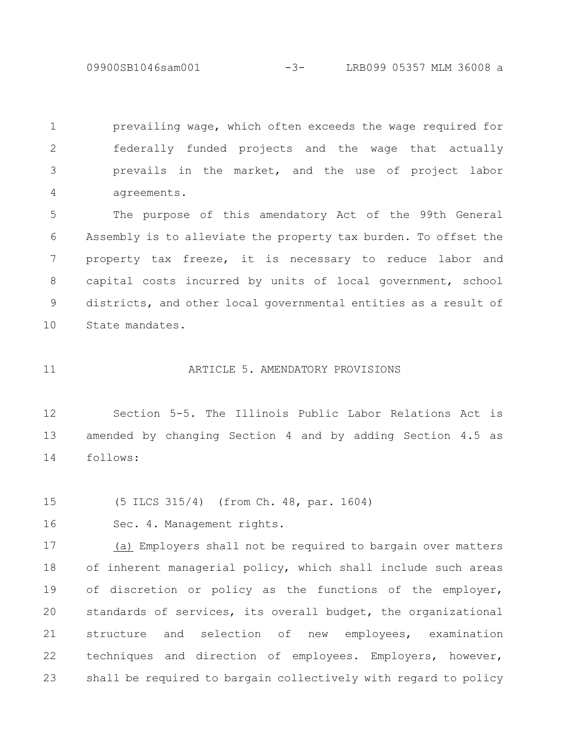09900SB1046sam001 -3- LRB099 05357 MLM 36008 a

prevailing wage, which often exceeds the wage required for federally funded projects and the wage that actually prevails in the market, and the use of project labor agreements. 1 2 3 4

The purpose of this amendatory Act of the 99th General Assembly is to alleviate the property tax burden. To offset the property tax freeze, it is necessary to reduce labor and capital costs incurred by units of local government, school districts, and other local governmental entities as a result of State mandates. 5 6 7 8 9 10

11

## ARTICLE 5. AMENDATORY PROVISIONS

Section 5-5. The Illinois Public Labor Relations Act is amended by changing Section 4 and by adding Section 4.5 as follows: 12 13 14

(5 ILCS 315/4) (from Ch. 48, par. 1604) 15

Sec. 4. Management rights. 16

(a) Employers shall not be required to bargain over matters of inherent managerial policy, which shall include such areas of discretion or policy as the functions of the employer, standards of services, its overall budget, the organizational structure and selection of new employees, examination techniques and direction of employees. Employers, however, shall be required to bargain collectively with regard to policy 17 18 19 20 21 22 23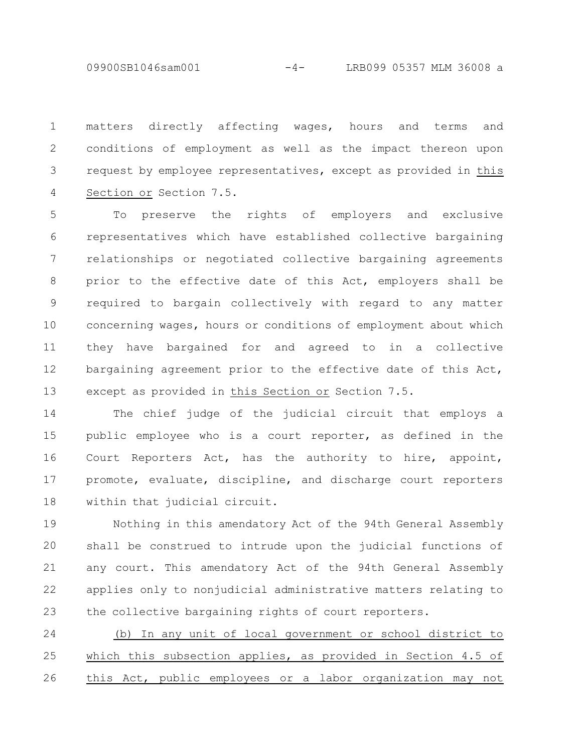09900SB1046sam001 -4- LRB099 05357 MLM 36008 a

matters directly affecting wages, hours and terms and conditions of employment as well as the impact thereon upon request by employee representatives, except as provided in this Section or Section 7.5. 1 2 3 4

To preserve the rights of employers and exclusive representatives which have established collective bargaining relationships or negotiated collective bargaining agreements prior to the effective date of this Act, employers shall be required to bargain collectively with regard to any matter concerning wages, hours or conditions of employment about which they have bargained for and agreed to in a collective bargaining agreement prior to the effective date of this Act, except as provided in this Section or Section 7.5. 5 6 7 8 9 10 11 12 13

The chief judge of the judicial circuit that employs a public employee who is a court reporter, as defined in the Court Reporters Act, has the authority to hire, appoint, promote, evaluate, discipline, and discharge court reporters within that judicial circuit. 14 15 16 17 18

Nothing in this amendatory Act of the 94th General Assembly shall be construed to intrude upon the judicial functions of any court. This amendatory Act of the 94th General Assembly applies only to nonjudicial administrative matters relating to the collective bargaining rights of court reporters. 19 20 21 22 23

(b) In any unit of local government or school district to which this subsection applies, as provided in Section 4.5 of this Act, public employees or a labor organization may not 24 25 26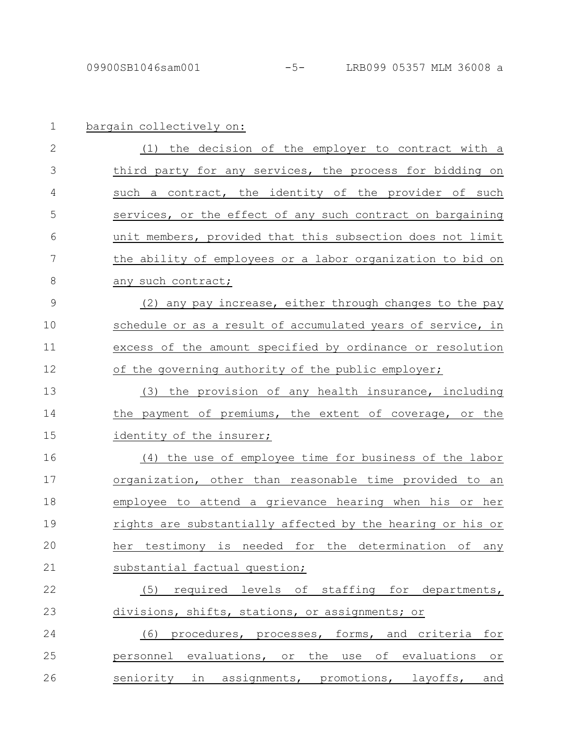| $\mathbf 1$   | bargain collectively on:                                               |
|---------------|------------------------------------------------------------------------|
| $\mathbf{2}$  | (1) the decision of the employer to contract with a                    |
| 3             | third party for any services, the process for bidding on               |
| 4             | such a contract, the identity of the provider of such                  |
| 5             | services, or the effect of any such contract on bargaining             |
| 6             | unit members, provided that this subsection does not limit             |
| 7             | the ability of employees or a labor organization to bid on             |
| 8             | any such contract;                                                     |
| $\mathcal{G}$ | (2) any pay increase, either through changes to the pay                |
| 10            | schedule or as a result of accumulated years of service, in            |
| 11            | excess of the amount specified by ordinance or resolution              |
| 12            | of the governing authority of the public employer;                     |
| 13            | the provision of any health insurance, including<br>(3)                |
| 14            | the payment of premiums, the extent of coverage, or the                |
| 15            | identity of the insurer;                                               |
| 16            | (4) the use of employee time for business of the labor                 |
| 17            | organization, other than reasonable time provided to an                |
| 18            | employee to attend a grievance hearing when his or her                 |
| 19            | rights are substantially affected by the hearing or his or             |
| 20            | needed<br>the<br>testimony is<br>for<br>determination of<br>her<br>any |
| 21            | substantial factual question;                                          |
| 22            | required levels of staffing for departments,<br>(5)                    |
| 23            | divisions, shifts, stations, or assignments; or                        |
| 24            | procedures, processes, forms, and criteria<br>(6)<br>for               |
| 25            | personnel evaluations, or the use of evaluations<br>O <sub>T</sub>     |
| 26            | seniority in assignments, promotions, layoffs,<br>and                  |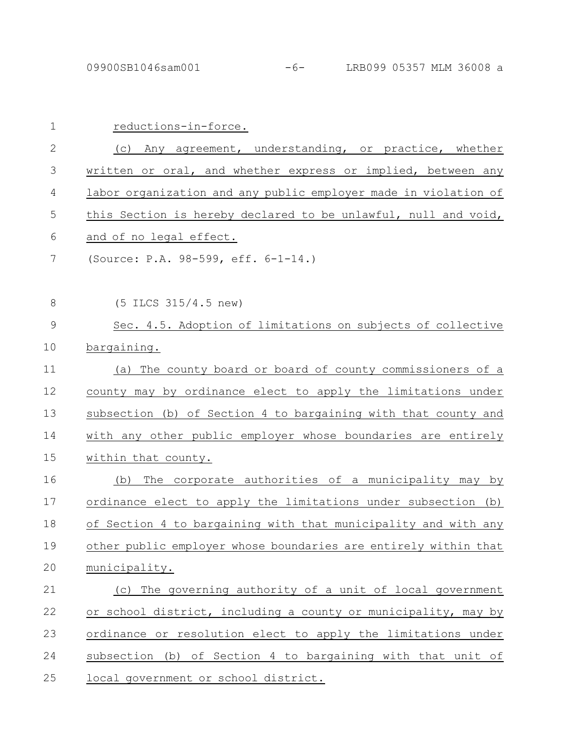| $\mathbf 1$    | reductions-in-force.                                            |
|----------------|-----------------------------------------------------------------|
| 2              | (c) Any agreement, understanding, or practice, whether          |
| 3              | written or oral, and whether express or implied, between any    |
| 4              | labor organization and any public employer made in violation of |
| 5              | this Section is hereby declared to be unlawful, null and void,  |
| 6              | and of no legal effect.                                         |
| 7              | (Source: P.A. 98-599, eff. 6-1-14.)                             |
| 8              | $(5$ ILCS 315/4.5 new)                                          |
| $\overline{9}$ | Sec. 4.5. Adoption of limitations on subjects of collective     |
| 10             | bargaining.                                                     |
| 11             | (a) The county board or board of county commissioners of a      |
| 12             | county may by ordinance elect to apply the limitations under    |
| 13             | subsection (b) of Section 4 to bargaining with that county and  |
| 14             | with any other public employer whose boundaries are entirely    |
| 15             | within that county.                                             |
| 16             | The corporate authorities of a municipality may by<br>(b)       |
| 17             | ordinance elect to apply the limitations under subsection (b)   |
| 18             | of Section 4 to bargaining with that municipality and with any  |
| 19             | other public employer whose boundaries are entirely within that |
| 20             | municipality.                                                   |
| 21             | (c) The governing authority of a unit of local government       |
| 22             | or school district, including a county or municipality, may by  |
| 23             | ordinance or resolution elect to apply the limitations under    |
| 24             | subsection (b) of Section 4 to bargaining with that unit of     |
| 25             | local government or school district.                            |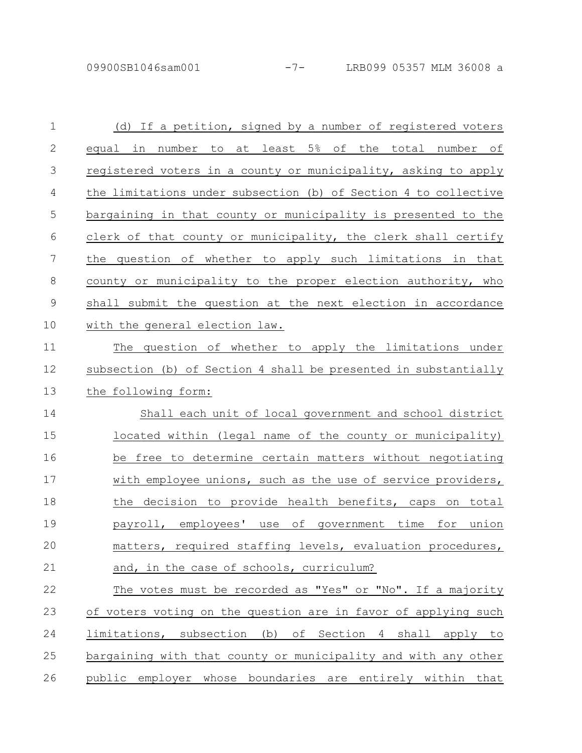| $\mathbf 1$    | (d) If a petition, signed by a number of registered voters      |
|----------------|-----------------------------------------------------------------|
| $\mathbf{2}$   | equal in number to at least 5% of the total number of           |
| 3              | registered voters in a county or municipality, asking to apply  |
| 4              | the limitations under subsection (b) of Section 4 to collective |
| 5              | bargaining in that county or municipality is presented to the   |
| 6              | clerk of that county or municipality, the clerk shall certify   |
| $\overline{7}$ | the question of whether to apply such limitations in that       |
| $\,8\,$        | county or municipality to the proper election authority, who    |
| $\mathsf 9$    | shall submit the question at the next election in accordance    |
| 10             | with the general election law.                                  |
| 11             | The question of whether to apply the limitations under          |
| 12             | subsection (b) of Section 4 shall be presented in substantially |
| 13             | the following form:                                             |
| 14             | Shall each unit of local government and school district         |
| 15             | located within (legal name of the county or municipality)       |
| 16             | be free to determine certain matters without negotiating        |
| 17             | with employee unions, such as the use of service providers,     |
| 18             | the decision to provide health benefits, caps on total          |
| 19             | payroll, employees' use of government time for union            |
| 20             | matters, required staffing levels, evaluation procedures,       |
| 21             | and, in the case of schools, curriculum?                        |
| 22             | The votes must be recorded as "Yes" or "No". If a majority      |
| 23             | of voters voting on the question are in favor of applying such  |
| 24             | limitations, subsection (b) of Section 4 shall apply to         |
| 25             | bargaining with that county or municipality and with any other  |
| 26             | public employer whose boundaries are entirely within that       |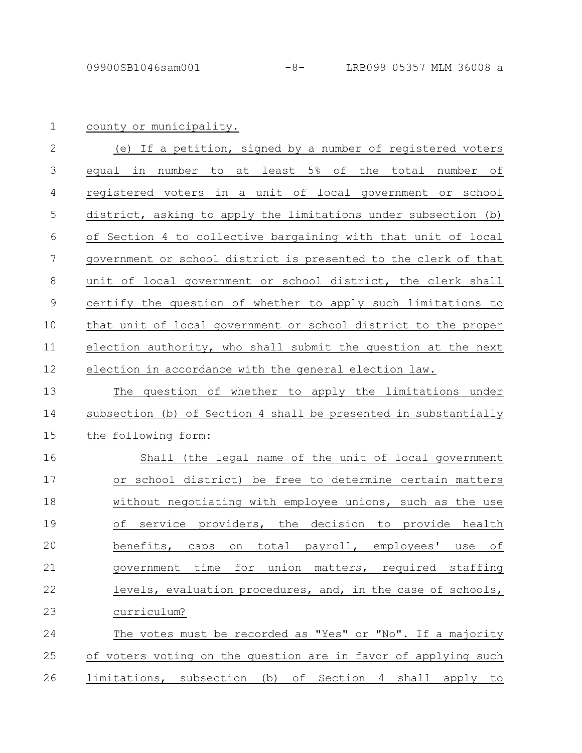county or municipality. 1

| 2  | (e) If a petition, signed by a number of registered voters      |
|----|-----------------------------------------------------------------|
| 3  | equal in number to at least 5% of the total number of           |
| 4  | registered voters in a unit of local government or school       |
| 5  | district, asking to apply the limitations under subsection (b)  |
| 6  | of Section 4 to collective bargaining with that unit of local   |
| 7  | government or school district is presented to the clerk of that |
| 8  | unit of local government or school district, the clerk shall    |
| 9  | certify the question of whether to apply such limitations to    |
| 10 | that unit of local government or school district to the proper  |
| 11 | election authority, who shall submit the question at the next   |
| 12 | election in accordance with the general election law.           |
| 13 | The question of whether to apply the limitations under          |
|    |                                                                 |

subsection (b) of Section 4 shall be presented in substantially the following form: 14 15

Shall (the legal name of the unit of local government or school district) be free to determine certain matters without negotiating with employee unions, such as the use of service providers, the decision to provide health benefits, caps on total payroll, employees' use of government time for union matters, required staffing levels, evaluation procedures, and, in the case of schools, curriculum? 16 17 18 19 20 21 22 23

The votes must be recorded as "Yes" or "No". If a majority of voters voting on the question are in favor of applying such limitations, subsection (b) of Section 4 shall apply to 24 25 26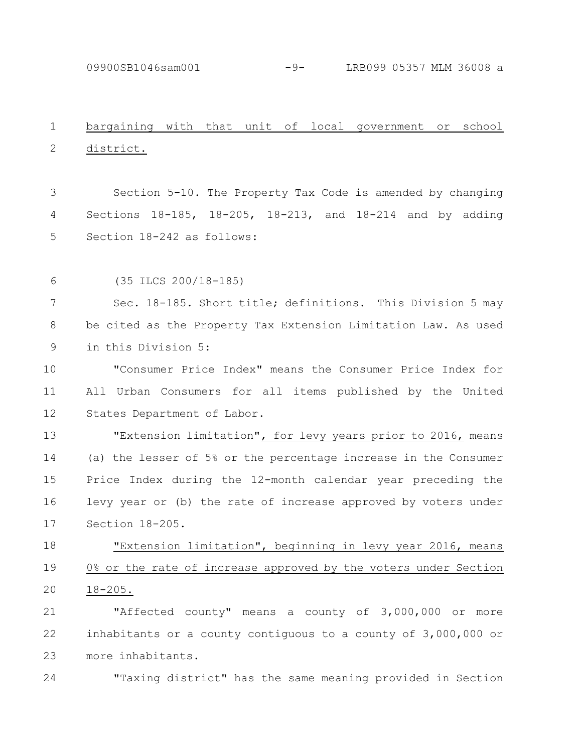09900SB1046sam001 -9- LRB099 05357 MLM 36008 a

## bargaining with that unit of local government or school district. 1 2

Section 5-10. The Property Tax Code is amended by changing Sections 18-185, 18-205, 18-213, and 18-214 and by adding Section 18-242 as follows: 3 4 5

(35 ILCS 200/18-185) 6

Sec. 18-185. Short title; definitions. This Division 5 may be cited as the Property Tax Extension Limitation Law. As used in this Division 5: 7 8 9

"Consumer Price Index" means the Consumer Price Index for All Urban Consumers for all items published by the United States Department of Labor. 10 11 12

"Extension limitation", for levy years prior to 2016, means (a) the lesser of 5% or the percentage increase in the Consumer Price Index during the 12-month calendar year preceding the levy year or (b) the rate of increase approved by voters under Section 18-205. 13 14 15 16 17

"Extension limitation", beginning in levy year 2016, means 0% or the rate of increase approved by the voters under Section 18-205. 18 19 20

"Affected county" means a county of 3,000,000 or more inhabitants or a county contiguous to a county of 3,000,000 or more inhabitants. 21 22 23

"Taxing district" has the same meaning provided in Section 24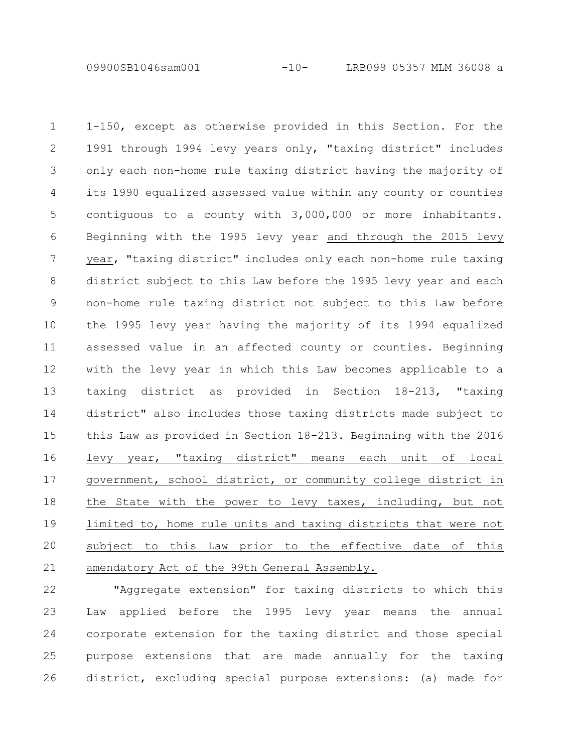09900SB1046sam001 -10- LRB099 05357 MLM 36008 a

1-150, except as otherwise provided in this Section. For the 1991 through 1994 levy years only, "taxing district" includes only each non-home rule taxing district having the majority of its 1990 equalized assessed value within any county or counties contiguous to a county with 3,000,000 or more inhabitants. Beginning with the 1995 levy year and through the 2015 levy year, "taxing district" includes only each non-home rule taxing district subject to this Law before the 1995 levy year and each non-home rule taxing district not subject to this Law before the 1995 levy year having the majority of its 1994 equalized assessed value in an affected county or counties. Beginning with the levy year in which this Law becomes applicable to a taxing district as provided in Section 18-213, "taxing district" also includes those taxing districts made subject to this Law as provided in Section 18-213. Beginning with the 2016 levy year, "taxing district" means each unit of local government, school district, or community college district in the State with the power to levy taxes, including, but not limited to, home rule units and taxing districts that were not subject to this Law prior to the effective date of this amendatory Act of the 99th General Assembly. 1 2 3 4 5 6 7 8 9 10 11 12 13 14 15 16 17 18 19 20 21

"Aggregate extension" for taxing districts to which this Law applied before the 1995 levy year means the annual corporate extension for the taxing district and those special purpose extensions that are made annually for the taxing district, excluding special purpose extensions: (a) made for 22 23 24 25 26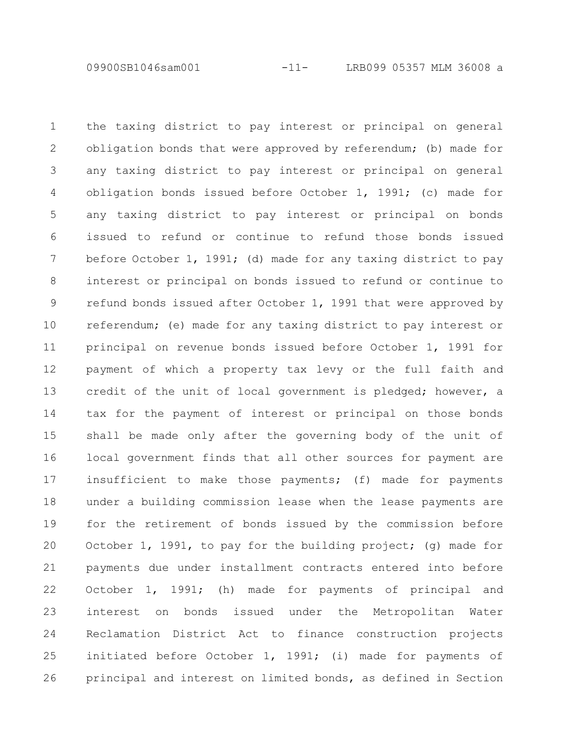09900SB1046sam001 -11- LRB099 05357 MLM 36008 a

the taxing district to pay interest or principal on general obligation bonds that were approved by referendum; (b) made for any taxing district to pay interest or principal on general obligation bonds issued before October 1, 1991; (c) made for any taxing district to pay interest or principal on bonds issued to refund or continue to refund those bonds issued before October 1, 1991; (d) made for any taxing district to pay interest or principal on bonds issued to refund or continue to refund bonds issued after October 1, 1991 that were approved by referendum; (e) made for any taxing district to pay interest or principal on revenue bonds issued before October 1, 1991 for payment of which a property tax levy or the full faith and credit of the unit of local government is pledged; however, a tax for the payment of interest or principal on those bonds shall be made only after the governing body of the unit of local government finds that all other sources for payment are insufficient to make those payments; (f) made for payments under a building commission lease when the lease payments are for the retirement of bonds issued by the commission before October 1, 1991, to pay for the building project; (g) made for payments due under installment contracts entered into before October 1, 1991; (h) made for payments of principal and interest on bonds issued under the Metropolitan Water Reclamation District Act to finance construction projects initiated before October 1, 1991; (i) made for payments of principal and interest on limited bonds, as defined in Section 1 2 3 4 5 6 7 8 9 10 11 12 13 14 15 16 17 18 19 20 21 22 23 24 25 26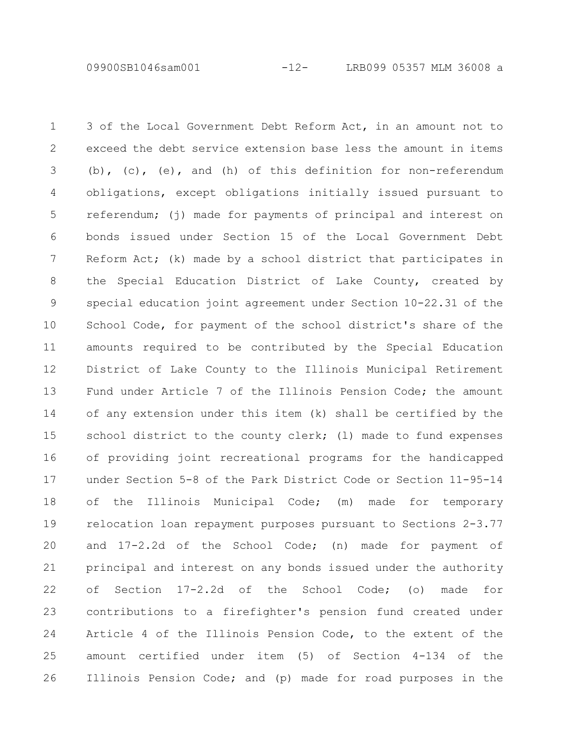09900SB1046sam001 -12- LRB099 05357 MLM 36008 a

3 of the Local Government Debt Reform Act, in an amount not to exceed the debt service extension base less the amount in items (b), (c), (e), and (h) of this definition for non-referendum obligations, except obligations initially issued pursuant to referendum; (j) made for payments of principal and interest on bonds issued under Section 15 of the Local Government Debt Reform Act; (k) made by a school district that participates in the Special Education District of Lake County, created by special education joint agreement under Section 10-22.31 of the School Code, for payment of the school district's share of the amounts required to be contributed by the Special Education District of Lake County to the Illinois Municipal Retirement Fund under Article 7 of the Illinois Pension Code; the amount of any extension under this item (k) shall be certified by the school district to the county clerk; (1) made to fund expenses of providing joint recreational programs for the handicapped under Section 5-8 of the Park District Code or Section 11-95-14 of the Illinois Municipal Code; (m) made for temporary relocation loan repayment purposes pursuant to Sections 2-3.77 and 17-2.2d of the School Code; (n) made for payment of principal and interest on any bonds issued under the authority of Section 17-2.2d of the School Code; (o) made for contributions to a firefighter's pension fund created under Article 4 of the Illinois Pension Code, to the extent of the amount certified under item (5) of Section 4-134 of the Illinois Pension Code; and (p) made for road purposes in the 1 2 3 4 5 6 7 8 9 10 11 12 13 14 15 16 17 18 19 20 21 22 23 24 25 26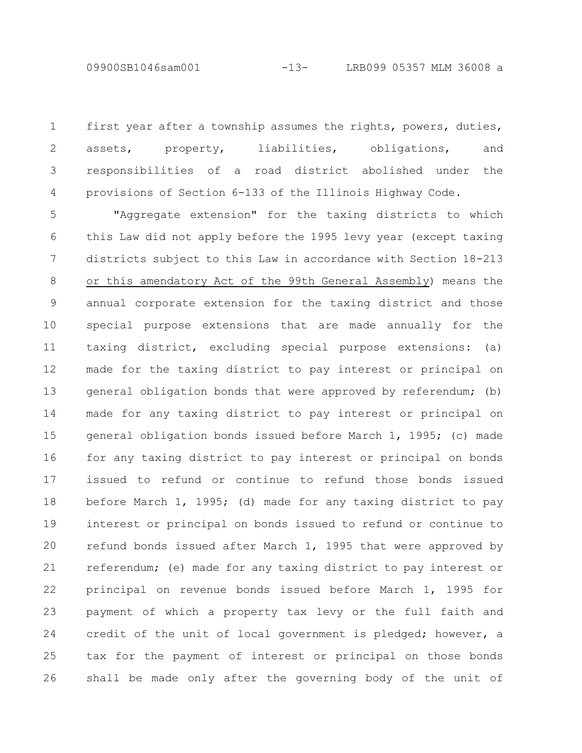first year after a township assumes the rights, powers, duties, assets, property, liabilities, obligations, and responsibilities of a road district abolished under the provisions of Section 6-133 of the Illinois Highway Code. 1 2 3 4

"Aggregate extension" for the taxing districts to which this Law did not apply before the 1995 levy year (except taxing districts subject to this Law in accordance with Section 18-213 or this amendatory Act of the 99th General Assembly) means the annual corporate extension for the taxing district and those special purpose extensions that are made annually for the taxing district, excluding special purpose extensions: (a) made for the taxing district to pay interest or principal on general obligation bonds that were approved by referendum; (b) made for any taxing district to pay interest or principal on general obligation bonds issued before March 1, 1995; (c) made for any taxing district to pay interest or principal on bonds issued to refund or continue to refund those bonds issued before March 1, 1995; (d) made for any taxing district to pay interest or principal on bonds issued to refund or continue to refund bonds issued after March 1, 1995 that were approved by referendum; (e) made for any taxing district to pay interest or principal on revenue bonds issued before March 1, 1995 for payment of which a property tax levy or the full faith and credit of the unit of local government is pledged; however, a tax for the payment of interest or principal on those bonds shall be made only after the governing body of the unit of 5 6 7 8 9 10 11 12 13 14 15 16 17 18 19 20 21 22 23 24 25 26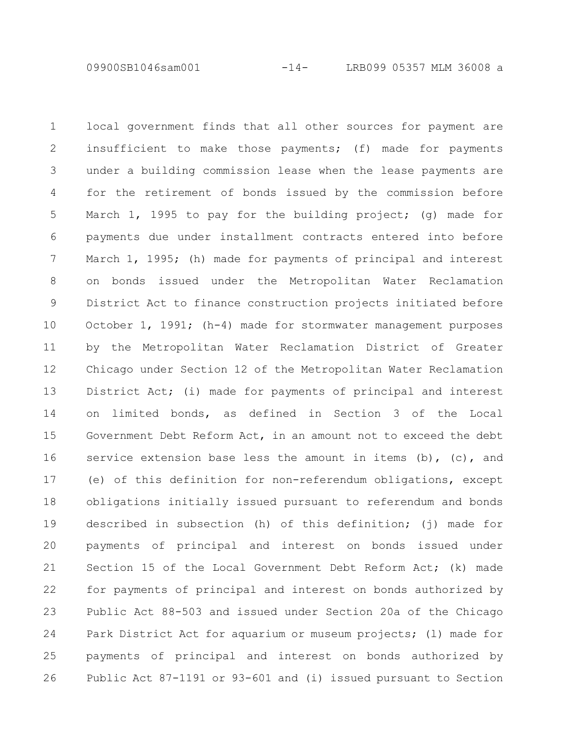09900SB1046sam001 -14- LRB099 05357 MLM 36008 a

local government finds that all other sources for payment are insufficient to make those payments; (f) made for payments under a building commission lease when the lease payments are for the retirement of bonds issued by the commission before March 1, 1995 to pay for the building project; (g) made for payments due under installment contracts entered into before March 1, 1995; (h) made for payments of principal and interest on bonds issued under the Metropolitan Water Reclamation District Act to finance construction projects initiated before October 1, 1991; (h-4) made for stormwater management purposes by the Metropolitan Water Reclamation District of Greater Chicago under Section 12 of the Metropolitan Water Reclamation District Act; (i) made for payments of principal and interest on limited bonds, as defined in Section 3 of the Local Government Debt Reform Act, in an amount not to exceed the debt service extension base less the amount in items  $(b)$ ,  $(c)$ , and (e) of this definition for non-referendum obligations, except obligations initially issued pursuant to referendum and bonds described in subsection (h) of this definition; (j) made for payments of principal and interest on bonds issued under Section 15 of the Local Government Debt Reform Act; (k) made for payments of principal and interest on bonds authorized by Public Act 88-503 and issued under Section 20a of the Chicago Park District Act for aquarium or museum projects; (l) made for payments of principal and interest on bonds authorized by Public Act 87-1191 or 93-601 and (i) issued pursuant to Section 1 2 3 4 5 6 7 8 9 10 11 12 13 14 15 16 17 18 19 20 21 22 23 24 25 26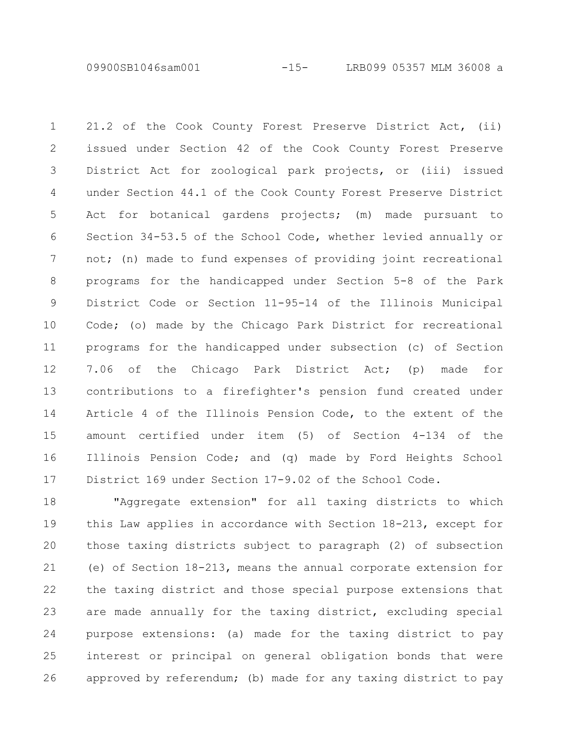09900SB1046sam001 -15- LRB099 05357 MLM 36008 a

21.2 of the Cook County Forest Preserve District Act, (ii) issued under Section 42 of the Cook County Forest Preserve District Act for zoological park projects, or (iii) issued under Section 44.1 of the Cook County Forest Preserve District Act for botanical gardens projects; (m) made pursuant to Section 34-53.5 of the School Code, whether levied annually or not; (n) made to fund expenses of providing joint recreational programs for the handicapped under Section 5-8 of the Park District Code or Section 11-95-14 of the Illinois Municipal Code; (o) made by the Chicago Park District for recreational programs for the handicapped under subsection (c) of Section 7.06 of the Chicago Park District Act; (p) made for contributions to a firefighter's pension fund created under Article 4 of the Illinois Pension Code, to the extent of the amount certified under item (5) of Section 4-134 of the Illinois Pension Code; and (q) made by Ford Heights School District 169 under Section 17-9.02 of the School Code. 1 2 3 4 5 6 7 8 9 10 11 12 13 14 15 16 17

"Aggregate extension" for all taxing districts to which this Law applies in accordance with Section 18-213, except for those taxing districts subject to paragraph (2) of subsection (e) of Section 18-213, means the annual corporate extension for the taxing district and those special purpose extensions that are made annually for the taxing district, excluding special purpose extensions: (a) made for the taxing district to pay interest or principal on general obligation bonds that were approved by referendum; (b) made for any taxing district to pay 18 19 20 21 22 23 24 25 26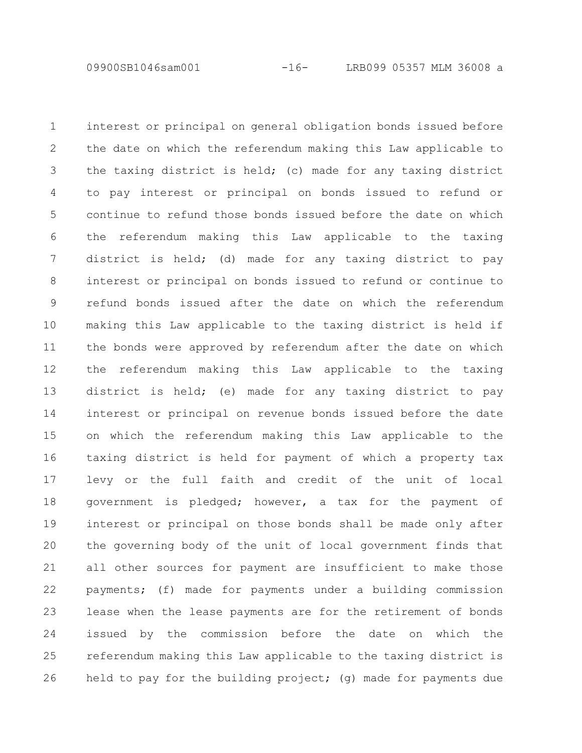the date on which the referendum making this Law applicable to the taxing district is held; (c) made for any taxing district to pay interest or principal on bonds issued to refund or continue to refund those bonds issued before the date on which the referendum making this Law applicable to the taxing district is held; (d) made for any taxing district to pay interest or principal on bonds issued to refund or continue to refund bonds issued after the date on which the referendum making this Law applicable to the taxing district is held if the bonds were approved by referendum after the date on which the referendum making this Law applicable to the taxing district is held; (e) made for any taxing district to pay interest or principal on revenue bonds issued before the date on which the referendum making this Law applicable to the taxing district is held for payment of which a property tax levy or the full faith and credit of the unit of local government is pledged; however, a tax for the payment of interest or principal on those bonds shall be made only after the governing body of the unit of local government finds that all other sources for payment are insufficient to make those payments; (f) made for payments under a building commission lease when the lease payments are for the retirement of bonds

interest or principal on general obligation bonds issued before

1

2

3

4

5

6

7

8

9

10

11

12

13

14

15

16

17

18

19

20

21

22

23

issued by the commission before the date on which the referendum making this Law applicable to the taxing district is held to pay for the building project; (g) made for payments due 24 25 26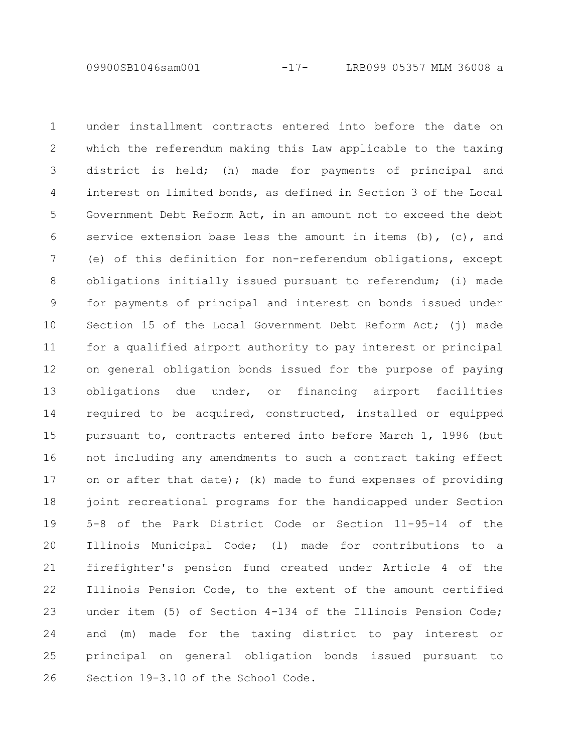09900SB1046sam001 -17- LRB099 05357 MLM 36008 a

under installment contracts entered into before the date on which the referendum making this Law applicable to the taxing district is held; (h) made for payments of principal and interest on limited bonds, as defined in Section 3 of the Local Government Debt Reform Act, in an amount not to exceed the debt service extension base less the amount in items  $(b)$ ,  $(c)$ , and (e) of this definition for non-referendum obligations, except obligations initially issued pursuant to referendum; (i) made for payments of principal and interest on bonds issued under Section 15 of the Local Government Debt Reform Act; (j) made for a qualified airport authority to pay interest or principal on general obligation bonds issued for the purpose of paying obligations due under, or financing airport facilities required to be acquired, constructed, installed or equipped pursuant to, contracts entered into before March 1, 1996 (but not including any amendments to such a contract taking effect on or after that date); (k) made to fund expenses of providing joint recreational programs for the handicapped under Section 5-8 of the Park District Code or Section 11-95-14 of the Illinois Municipal Code; (l) made for contributions to a firefighter's pension fund created under Article 4 of the Illinois Pension Code, to the extent of the amount certified under item (5) of Section 4-134 of the Illinois Pension Code; and (m) made for the taxing district to pay interest or principal on general obligation bonds issued pursuant to Section 19-3.10 of the School Code. 1 2 3 4 5 6 7 8 9 10 11 12 13 14 15 16 17 18 19 20 21 22 23 24 25 26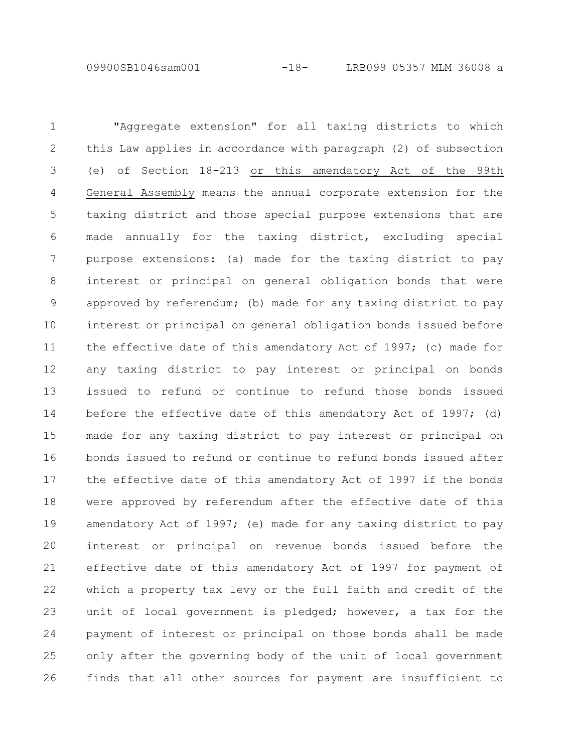09900SB1046sam001 -18- LRB099 05357 MLM 36008 a

"Aggregate extension" for all taxing districts to which this Law applies in accordance with paragraph (2) of subsection (e) of Section 18-213 or this amendatory Act of the 99th General Assembly means the annual corporate extension for the taxing district and those special purpose extensions that are made annually for the taxing district, excluding special purpose extensions: (a) made for the taxing district to pay interest or principal on general obligation bonds that were approved by referendum; (b) made for any taxing district to pay interest or principal on general obligation bonds issued before the effective date of this amendatory Act of 1997; (c) made for any taxing district to pay interest or principal on bonds issued to refund or continue to refund those bonds issued before the effective date of this amendatory Act of 1997; (d) made for any taxing district to pay interest or principal on bonds issued to refund or continue to refund bonds issued after the effective date of this amendatory Act of 1997 if the bonds were approved by referendum after the effective date of this amendatory Act of 1997; (e) made for any taxing district to pay interest or principal on revenue bonds issued before the effective date of this amendatory Act of 1997 for payment of which a property tax levy or the full faith and credit of the unit of local government is pledged; however, a tax for the payment of interest or principal on those bonds shall be made only after the governing body of the unit of local government finds that all other sources for payment are insufficient to 1 2 3 4 5 6 7 8 9 10 11 12 13 14 15 16 17 18 19 20 21 22 23 24 25 26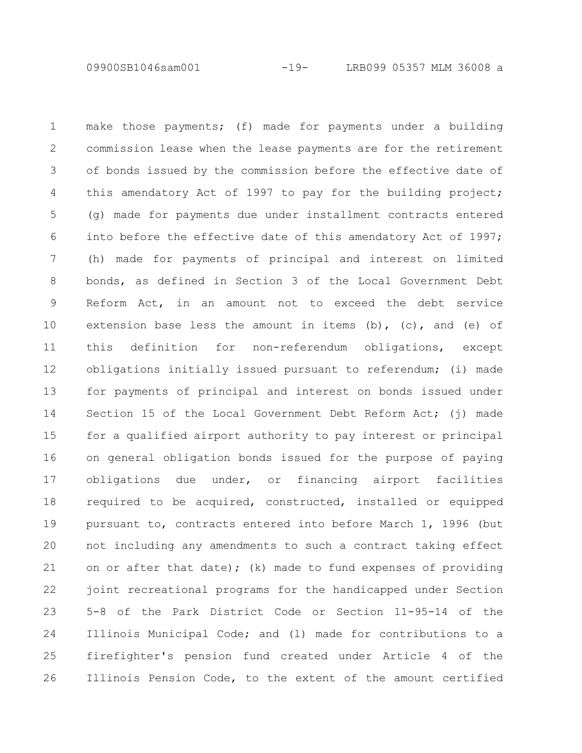09900SB1046sam001 -19- LRB099 05357 MLM 36008 a

make those payments; (f) made for payments under a building commission lease when the lease payments are for the retirement of bonds issued by the commission before the effective date of this amendatory Act of 1997 to pay for the building project; (g) made for payments due under installment contracts entered into before the effective date of this amendatory Act of 1997; (h) made for payments of principal and interest on limited bonds, as defined in Section 3 of the Local Government Debt Reform Act, in an amount not to exceed the debt service extension base less the amount in items (b),  $(c)$ , and (e) of this definition for non-referendum obligations, except obligations initially issued pursuant to referendum; (i) made for payments of principal and interest on bonds issued under Section 15 of the Local Government Debt Reform Act; (j) made for a qualified airport authority to pay interest or principal on general obligation bonds issued for the purpose of paying obligations due under, or financing airport facilities required to be acquired, constructed, installed or equipped pursuant to, contracts entered into before March 1, 1996 (but not including any amendments to such a contract taking effect on or after that date); (k) made to fund expenses of providing joint recreational programs for the handicapped under Section 5-8 of the Park District Code or Section 11-95-14 of the Illinois Municipal Code; and (l) made for contributions to a firefighter's pension fund created under Article 4 of the Illinois Pension Code, to the extent of the amount certified 1 2 3 4 5 6 7 8 9 10 11 12 13 14 15 16 17 18 19 20 21 22 23 24 25 26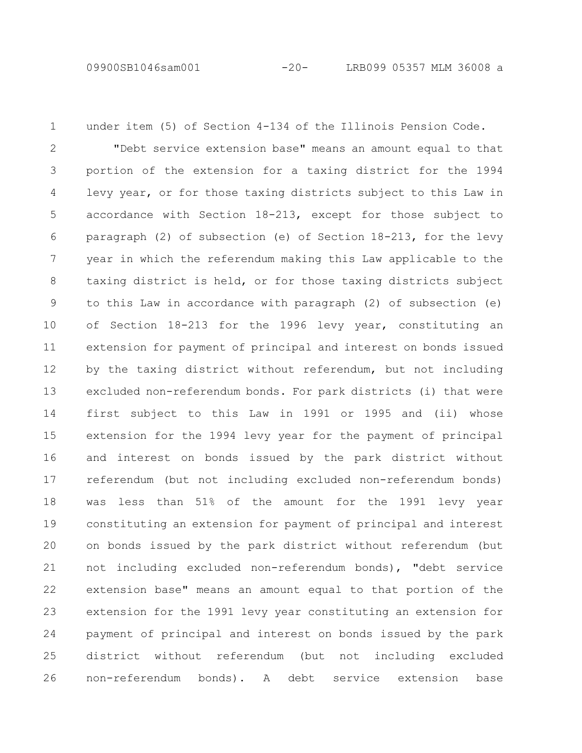under item (5) of Section 4-134 of the Illinois Pension Code. 1

"Debt service extension base" means an amount equal to that portion of the extension for a taxing district for the 1994 levy year, or for those taxing districts subject to this Law in accordance with Section 18-213, except for those subject to paragraph (2) of subsection (e) of Section 18-213, for the levy year in which the referendum making this Law applicable to the taxing district is held, or for those taxing districts subject to this Law in accordance with paragraph (2) of subsection (e) of Section 18-213 for the 1996 levy year, constituting an extension for payment of principal and interest on bonds issued by the taxing district without referendum, but not including excluded non-referendum bonds. For park districts (i) that were first subject to this Law in 1991 or 1995 and (ii) whose extension for the 1994 levy year for the payment of principal and interest on bonds issued by the park district without referendum (but not including excluded non-referendum bonds) was less than 51% of the amount for the 1991 levy year constituting an extension for payment of principal and interest on bonds issued by the park district without referendum (but not including excluded non-referendum bonds), "debt service extension base" means an amount equal to that portion of the extension for the 1991 levy year constituting an extension for payment of principal and interest on bonds issued by the park district without referendum (but not including excluded non-referendum bonds). A debt service extension base 2 3 4 5 6 7 8 9 10 11 12 13 14 15 16 17 18 19 20 21 22 23 24 25 26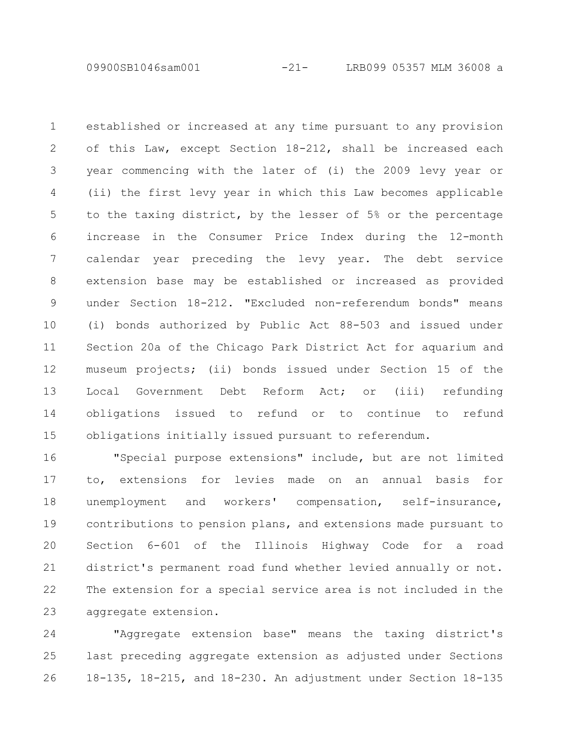09900SB1046sam001 -21- LRB099 05357 MLM 36008 a

established or increased at any time pursuant to any provision of this Law, except Section 18-212, shall be increased each year commencing with the later of (i) the 2009 levy year or (ii) the first levy year in which this Law becomes applicable to the taxing district, by the lesser of 5% or the percentage increase in the Consumer Price Index during the 12-month calendar year preceding the levy year. The debt service extension base may be established or increased as provided under Section 18-212. "Excluded non-referendum bonds" means (i) bonds authorized by Public Act 88-503 and issued under Section 20a of the Chicago Park District Act for aquarium and museum projects; (ii) bonds issued under Section 15 of the Local Government Debt Reform Act; or (iii) refunding obligations issued to refund or to continue to refund obligations initially issued pursuant to referendum. 1 2 3 4 5 6 7 8 9 10 11 12 13 14 15

"Special purpose extensions" include, but are not limited to, extensions for levies made on an annual basis for unemployment and workers' compensation, self-insurance, contributions to pension plans, and extensions made pursuant to Section 6-601 of the Illinois Highway Code for a road district's permanent road fund whether levied annually or not. The extension for a special service area is not included in the aggregate extension. 16 17 18 19 20 21 22 23

"Aggregate extension base" means the taxing district's last preceding aggregate extension as adjusted under Sections 18-135, 18-215, and 18-230. An adjustment under Section 18-135 24 25 26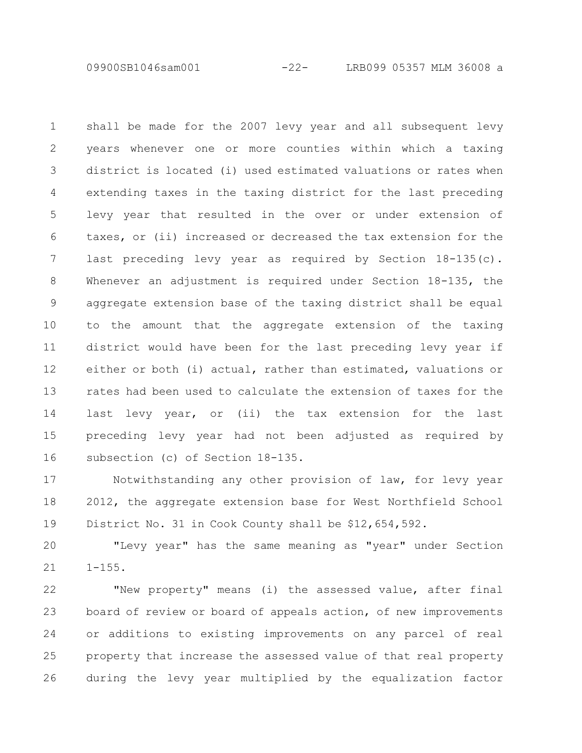09900SB1046sam001 -22- LRB099 05357 MLM 36008 a

shall be made for the 2007 levy year and all subsequent levy years whenever one or more counties within which a taxing district is located (i) used estimated valuations or rates when extending taxes in the taxing district for the last preceding levy year that resulted in the over or under extension of taxes, or (ii) increased or decreased the tax extension for the last preceding levy year as required by Section 18-135(c). Whenever an adjustment is required under Section 18-135, the aggregate extension base of the taxing district shall be equal to the amount that the aggregate extension of the taxing district would have been for the last preceding levy year if either or both (i) actual, rather than estimated, valuations or rates had been used to calculate the extension of taxes for the last levy year, or (ii) the tax extension for the last preceding levy year had not been adjusted as required by subsection (c) of Section 18-135. 1 2 3 4 5 6 7 8 9 10 11 12 13 14 15 16

Notwithstanding any other provision of law, for levy year 2012, the aggregate extension base for West Northfield School District No. 31 in Cook County shall be \$12,654,592. 17 18 19

"Levy year" has the same meaning as "year" under Section  $1 - 155$ . 20 21

"New property" means (i) the assessed value, after final board of review or board of appeals action, of new improvements or additions to existing improvements on any parcel of real property that increase the assessed value of that real property during the levy year multiplied by the equalization factor 22 23 24 25 26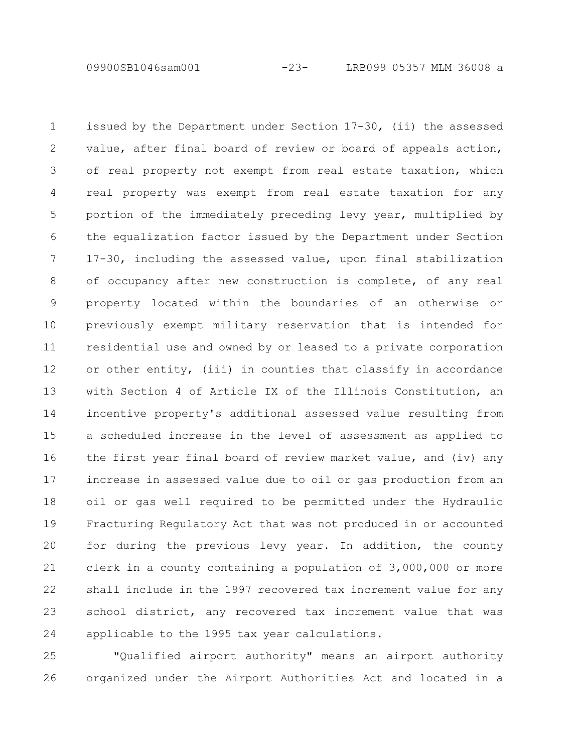09900SB1046sam001 -23- LRB099 05357 MLM 36008 a

issued by the Department under Section 17-30, (ii) the assessed value, after final board of review or board of appeals action, of real property not exempt from real estate taxation, which real property was exempt from real estate taxation for any portion of the immediately preceding levy year, multiplied by the equalization factor issued by the Department under Section 17-30, including the assessed value, upon final stabilization of occupancy after new construction is complete, of any real property located within the boundaries of an otherwise or previously exempt military reservation that is intended for residential use and owned by or leased to a private corporation or other entity, (iii) in counties that classify in accordance with Section 4 of Article IX of the Illinois Constitution, an incentive property's additional assessed value resulting from a scheduled increase in the level of assessment as applied to the first year final board of review market value, and (iv) any increase in assessed value due to oil or gas production from an oil or gas well required to be permitted under the Hydraulic Fracturing Regulatory Act that was not produced in or accounted for during the previous levy year. In addition, the county clerk in a county containing a population of 3,000,000 or more shall include in the 1997 recovered tax increment value for any school district, any recovered tax increment value that was applicable to the 1995 tax year calculations. 1 2 3 4 5 6 7 8 9 10 11 12 13 14 15 16 17 18 19 20 21 22 23 24

"Qualified airport authority" means an airport authority organized under the Airport Authorities Act and located in a 25 26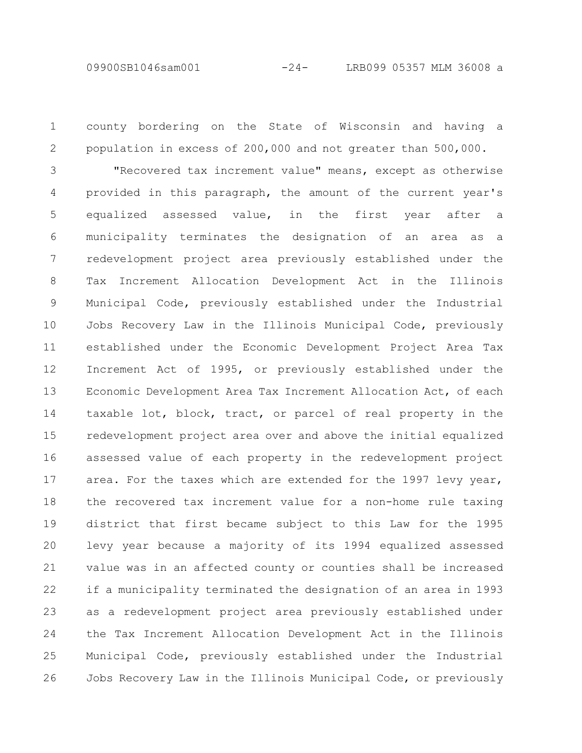09900SB1046sam001 -24- LRB099 05357 MLM 36008 a

county bordering on the State of Wisconsin and having a population in excess of 200,000 and not greater than 500,000. "Recovered tax increment value" means, except as otherwise provided in this paragraph, the amount of the current year's equalized assessed value, in the first year after a municipality terminates the designation of an area as a redevelopment project area previously established under the Tax Increment Allocation Development Act in the Illinois Municipal Code, previously established under the Industrial Jobs Recovery Law in the Illinois Municipal Code, previously established under the Economic Development Project Area Tax Increment Act of 1995, or previously established under the Economic Development Area Tax Increment Allocation Act, of each taxable lot, block, tract, or parcel of real property in the redevelopment project area over and above the initial equalized assessed value of each property in the redevelopment project area. For the taxes which are extended for the 1997 levy year, the recovered tax increment value for a non-home rule taxing district that first became subject to this Law for the 1995 levy year because a majority of its 1994 equalized assessed value was in an affected county or counties shall be increased if a municipality terminated the designation of an area in 1993 as a redevelopment project area previously established under the Tax Increment Allocation Development Act in the Illinois Municipal Code, previously established under the Industrial Jobs Recovery Law in the Illinois Municipal Code, or previously 1 2 3 4 5 6 7 8 9 10 11 12 13 14 15 16 17 18 19 20 21 22 23 24 25 26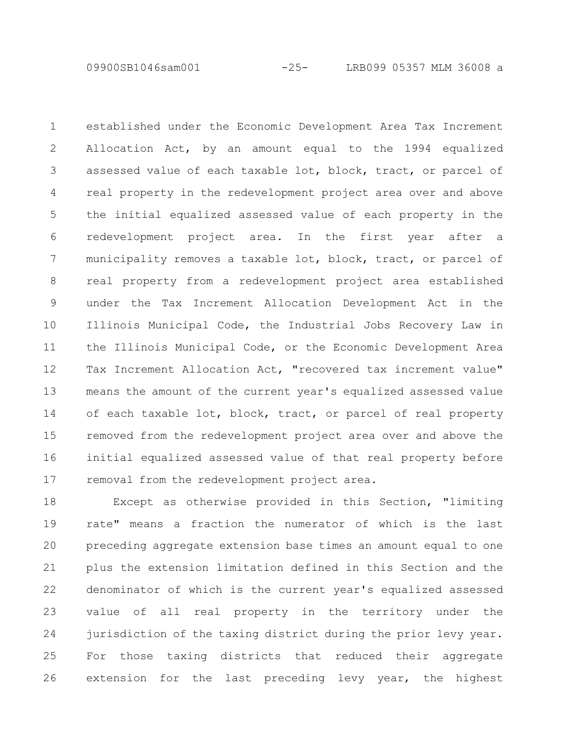09900SB1046sam001 -25- LRB099 05357 MLM 36008 a

established under the Economic Development Area Tax Increment Allocation Act, by an amount equal to the 1994 equalized assessed value of each taxable lot, block, tract, or parcel of real property in the redevelopment project area over and above the initial equalized assessed value of each property in the redevelopment project area. In the first year after a municipality removes a taxable lot, block, tract, or parcel of real property from a redevelopment project area established under the Tax Increment Allocation Development Act in the Illinois Municipal Code, the Industrial Jobs Recovery Law in the Illinois Municipal Code, or the Economic Development Area Tax Increment Allocation Act, "recovered tax increment value" means the amount of the current year's equalized assessed value of each taxable lot, block, tract, or parcel of real property removed from the redevelopment project area over and above the initial equalized assessed value of that real property before removal from the redevelopment project area. 1 2 3 4 5 6 7 8 9 10 11 12 13 14 15 16 17

Except as otherwise provided in this Section, "limiting rate" means a fraction the numerator of which is the last preceding aggregate extension base times an amount equal to one plus the extension limitation defined in this Section and the denominator of which is the current year's equalized assessed value of all real property in the territory under the jurisdiction of the taxing district during the prior levy year. For those taxing districts that reduced their aggregate extension for the last preceding levy year, the highest 18 19 20 21 22 23 24 25 26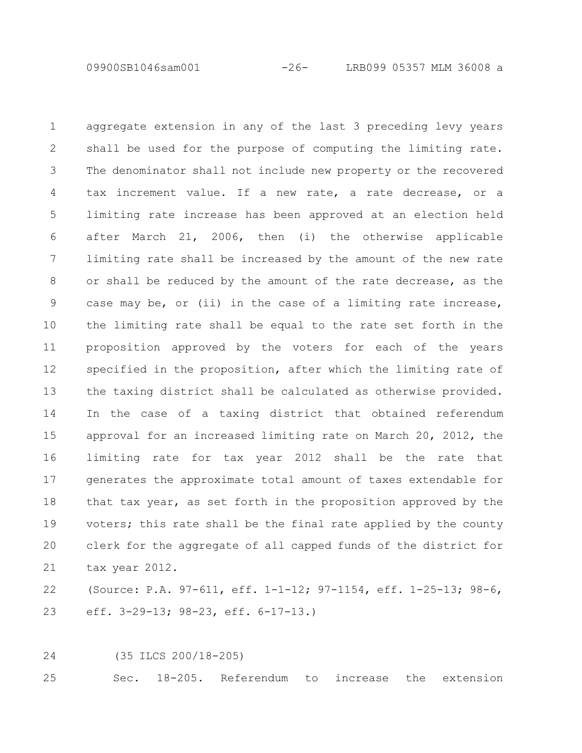09900SB1046sam001 -26- LRB099 05357 MLM 36008 a

aggregate extension in any of the last 3 preceding levy years shall be used for the purpose of computing the limiting rate. The denominator shall not include new property or the recovered tax increment value. If a new rate, a rate decrease, or a limiting rate increase has been approved at an election held after March 21, 2006, then (i) the otherwise applicable limiting rate shall be increased by the amount of the new rate or shall be reduced by the amount of the rate decrease, as the case may be, or (ii) in the case of a limiting rate increase, the limiting rate shall be equal to the rate set forth in the proposition approved by the voters for each of the years specified in the proposition, after which the limiting rate of the taxing district shall be calculated as otherwise provided. In the case of a taxing district that obtained referendum approval for an increased limiting rate on March 20, 2012, the limiting rate for tax year 2012 shall be the rate that generates the approximate total amount of taxes extendable for that tax year, as set forth in the proposition approved by the voters; this rate shall be the final rate applied by the county clerk for the aggregate of all capped funds of the district for tax year 2012. 1 2 3 4 5 6 7 8 9 10 11 12 13 14 15 16 17 18 19 20 21

(Source: P.A. 97-611, eff. 1-1-12; 97-1154, eff. 1-25-13; 98-6, eff. 3-29-13; 98-23, eff. 6-17-13.) 22 23

(35 ILCS 200/18-205) 24

Sec. 18-205. Referendum to increase the extension 25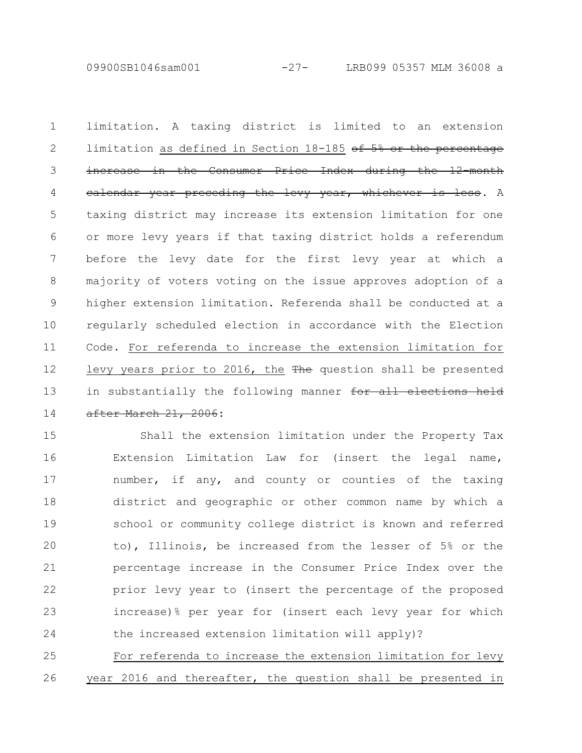09900SB1046sam001 -27- LRB099 05357 MLM 36008 a

limitation. A taxing district is limited to an extension limitation as defined in Section 18-185 of 5% or the percentage increase in the Consumer Price Index during the 12calendar year preceding the levy year, whichever is less. A taxing district may increase its extension limitation for one or more levy years if that taxing district holds a referendum before the levy date for the first levy year at which a majority of voters voting on the issue approves adoption of a higher extension limitation. Referenda shall be conducted at a regularly scheduled election in accordance with the Election Code. For referenda to increase the extension limitation for levy years prior to 2016, the The question shall be presented in substantially the following manner for all elections held after March 21, 2006: 1 2 3 4 5 6 7 8 9 10 11 12 13 14

Shall the extension limitation under the Property Tax Extension Limitation Law for (insert the legal name, number, if any, and county or counties of the taxing district and geographic or other common name by which a school or community college district is known and referred to), Illinois, be increased from the lesser of 5% or the percentage increase in the Consumer Price Index over the prior levy year to (insert the percentage of the proposed increase)% per year for (insert each levy year for which the increased extension limitation will apply)? 15 16 17 18 19 20 21 22 23 24

For referenda to increase the extension limitation for levy year 2016 and thereafter, the question shall be presented in 25 26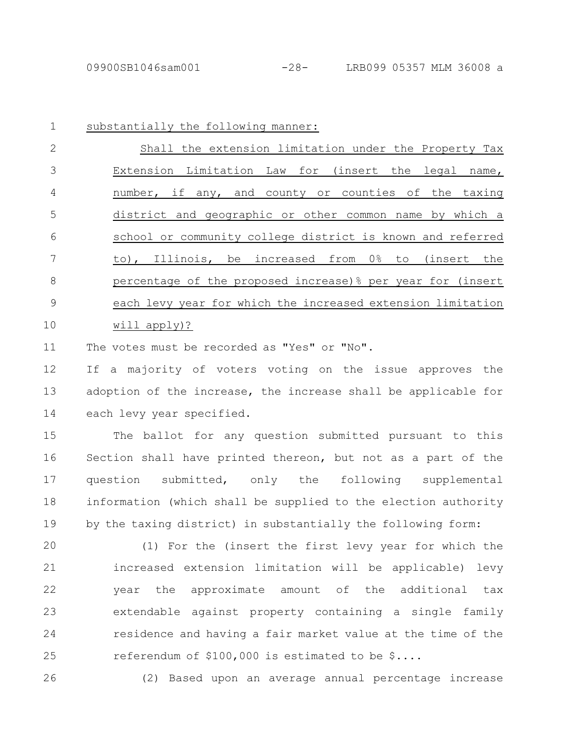substantially the following manner: Shall the extension limitation under the Property Tax Extension Limitation Law for (insert the legal name, number, if any, and county or counties of the taxing district and geographic or other common name by which a school or community college district is known and referred to), Illinois, be increased from 0% to (insert the percentage of the proposed increase)% per year for (insert each levy year for which the increased extension limitation will apply)? 1 2 3 4 5 6 7 8 9 10

The votes must be recorded as "Yes" or "No". 11

If a majority of voters voting on the issue approves the adoption of the increase, the increase shall be applicable for each levy year specified. 12 13 14

The ballot for any question submitted pursuant to this Section shall have printed thereon, but not as a part of the question submitted, only the following supplemental information (which shall be supplied to the election authority by the taxing district) in substantially the following form: 15 16 17 18 19

(1) For the (insert the first levy year for which the increased extension limitation will be applicable) levy year the approximate amount of the additional tax extendable against property containing a single family residence and having a fair market value at the time of the referendum of \$100,000 is estimated to be \$.... 20 21 22 23 24 25

26

(2) Based upon an average annual percentage increase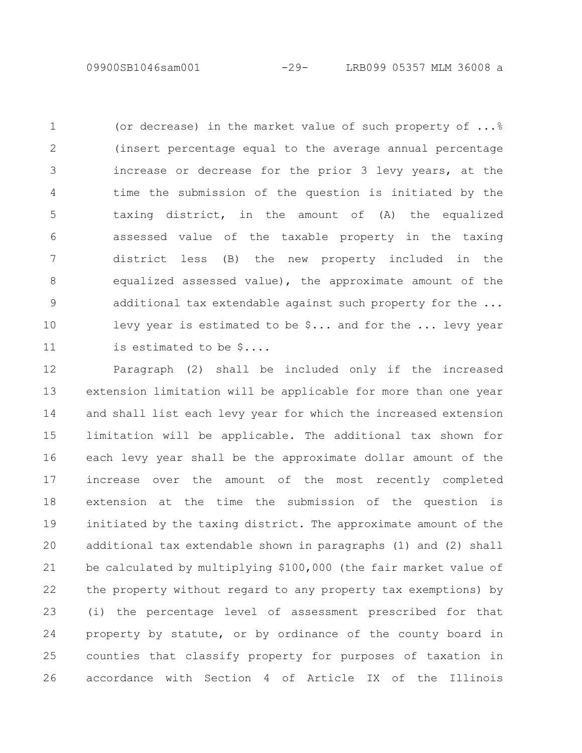09900SB1046sam001 -29- LRB099 05357 MLM 36008 a

(or decrease) in the market value of such property of  $\ldots$   $\frac{8}{3}$ (insert percentage equal to the average annual percentage increase or decrease for the prior 3 levy years, at the time the submission of the question is initiated by the taxing district, in the amount of (A) the equalized assessed value of the taxable property in the taxing district less (B) the new property included in the equalized assessed value), the approximate amount of the additional tax extendable against such property for the ... levy year is estimated to be \$... and for the ... levy year is estimated to be \$.... 1 2 3 4 5 6 7 8 9 10 11

Paragraph (2) shall be included only if the increased extension limitation will be applicable for more than one year and shall list each levy year for which the increased extension limitation will be applicable. The additional tax shown for each levy year shall be the approximate dollar amount of the increase over the amount of the most recently completed extension at the time the submission of the question is initiated by the taxing district. The approximate amount of the additional tax extendable shown in paragraphs (1) and (2) shall be calculated by multiplying \$100,000 (the fair market value of the property without regard to any property tax exemptions) by (i) the percentage level of assessment prescribed for that property by statute, or by ordinance of the county board in counties that classify property for purposes of taxation in accordance with Section 4 of Article IX of the Illinois 12 13 14 15 16 17 18 19 20 21 22 23 24 25 26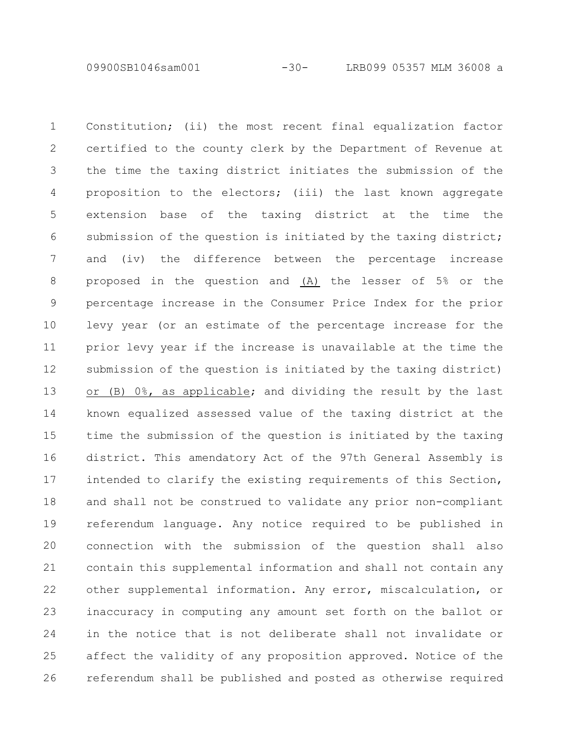09900SB1046sam001 -30- LRB099 05357 MLM 36008 a

Constitution; (ii) the most recent final equalization factor certified to the county clerk by the Department of Revenue at the time the taxing district initiates the submission of the proposition to the electors; (iii) the last known aggregate extension base of the taxing district at the time the submission of the question is initiated by the taxing district; and (iv) the difference between the percentage increase proposed in the question and (A) the lesser of 5% or the percentage increase in the Consumer Price Index for the prior levy year (or an estimate of the percentage increase for the prior levy year if the increase is unavailable at the time the submission of the question is initiated by the taxing district) or (B) 0%, as applicable; and dividing the result by the last known equalized assessed value of the taxing district at the time the submission of the question is initiated by the taxing district. This amendatory Act of the 97th General Assembly is intended to clarify the existing requirements of this Section, and shall not be construed to validate any prior non-compliant referendum language. Any notice required to be published in connection with the submission of the question shall also contain this supplemental information and shall not contain any other supplemental information. Any error, miscalculation, or inaccuracy in computing any amount set forth on the ballot or in the notice that is not deliberate shall not invalidate or affect the validity of any proposition approved. Notice of the referendum shall be published and posted as otherwise required 1 2 3 4 5 6 7 8 9 10 11 12 13 14 15 16 17 18 19 20 21 22 23 24 25 26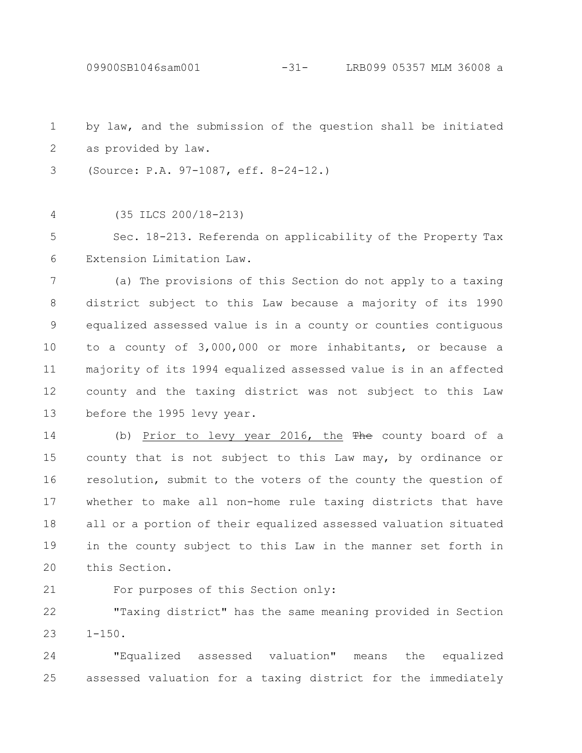by law, and the submission of the question shall be initiated as provided by law. 1 2

(Source: P.A. 97-1087, eff. 8-24-12.) 3

(35 ILCS 200/18-213) 4

Sec. 18-213. Referenda on applicability of the Property Tax Extension Limitation Law. 5 6

(a) The provisions of this Section do not apply to a taxing district subject to this Law because a majority of its 1990 equalized assessed value is in a county or counties contiguous to a county of 3,000,000 or more inhabitants, or because a majority of its 1994 equalized assessed value is in an affected county and the taxing district was not subject to this Law before the 1995 levy year. 7 8 9 10 11 12 13

(b) Prior to levy year 2016, the The county board of a county that is not subject to this Law may, by ordinance or resolution, submit to the voters of the county the question of whether to make all non-home rule taxing districts that have all or a portion of their equalized assessed valuation situated in the county subject to this Law in the manner set forth in this Section. 14 15 16 17 18 19 20

21

For purposes of this Section only:

"Taxing district" has the same meaning provided in Section  $1 - 150$ . 22 23

"Equalized assessed valuation" means the equalized assessed valuation for a taxing district for the immediately 24 25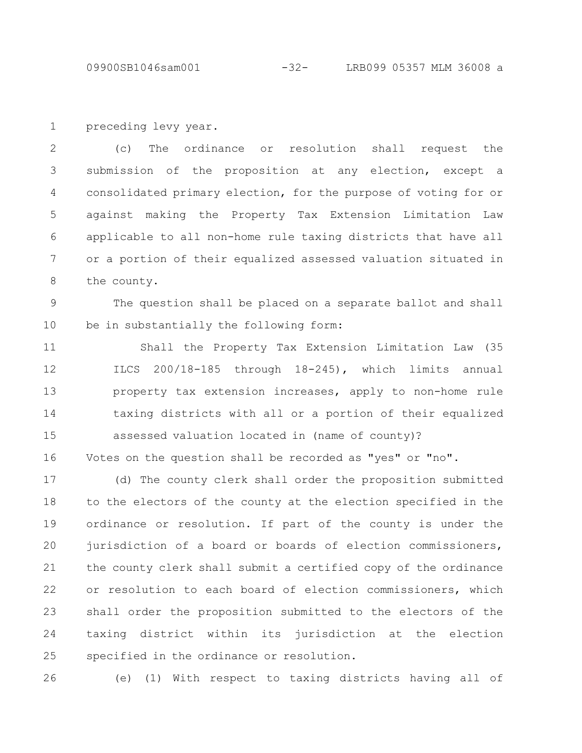09900SB1046sam001 -32- LRB099 05357 MLM 36008 a

preceding levy year. 1

(c) The ordinance or resolution shall request the submission of the proposition at any election, except a consolidated primary election, for the purpose of voting for or against making the Property Tax Extension Limitation Law applicable to all non-home rule taxing districts that have all or a portion of their equalized assessed valuation situated in the county. 2 3 4 5 6 7 8

The question shall be placed on a separate ballot and shall be in substantially the following form: 9 10

Shall the Property Tax Extension Limitation Law (35 ILCS 200/18-185 through 18-245), which limits annual property tax extension increases, apply to non-home rule taxing districts with all or a portion of their equalized assessed valuation located in (name of county)? 11 12 13 14 15

Votes on the question shall be recorded as "yes" or "no". 16

(d) The county clerk shall order the proposition submitted to the electors of the county at the election specified in the ordinance or resolution. If part of the county is under the jurisdiction of a board or boards of election commissioners, the county clerk shall submit a certified copy of the ordinance or resolution to each board of election commissioners, which shall order the proposition submitted to the electors of the taxing district within its jurisdiction at the election specified in the ordinance or resolution. 17 18 19 20 21 22 23 24 25

26

(e) (1) With respect to taxing districts having all of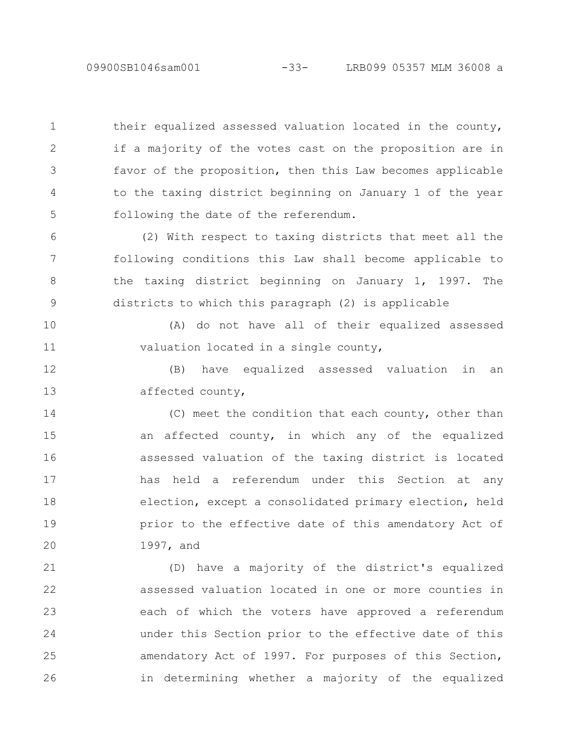09900SB1046sam001 -33- LRB099 05357 MLM 36008 a

their equalized assessed valuation located in the county, if a majority of the votes cast on the proposition are in favor of the proposition, then this Law becomes applicable to the taxing district beginning on January 1 of the year following the date of the referendum. 1 2 3 4 5

(2) With respect to taxing districts that meet all the following conditions this Law shall become applicable to the taxing district beginning on January 1, 1997. The districts to which this paragraph (2) is applicable 6 7 8 9

(A) do not have all of their equalized assessed valuation located in a single county, 10 11

(B) have equalized assessed valuation in an affected county, 12 13

(C) meet the condition that each county, other than an affected county, in which any of the equalized assessed valuation of the taxing district is located has held a referendum under this Section at any election, except a consolidated primary election, held prior to the effective date of this amendatory Act of 1997, and 14 15 16 17 18 19 20

(D) have a majority of the district's equalized assessed valuation located in one or more counties in each of which the voters have approved a referendum under this Section prior to the effective date of this amendatory Act of 1997. For purposes of this Section, in determining whether a majority of the equalized 21 22 23 24 25 26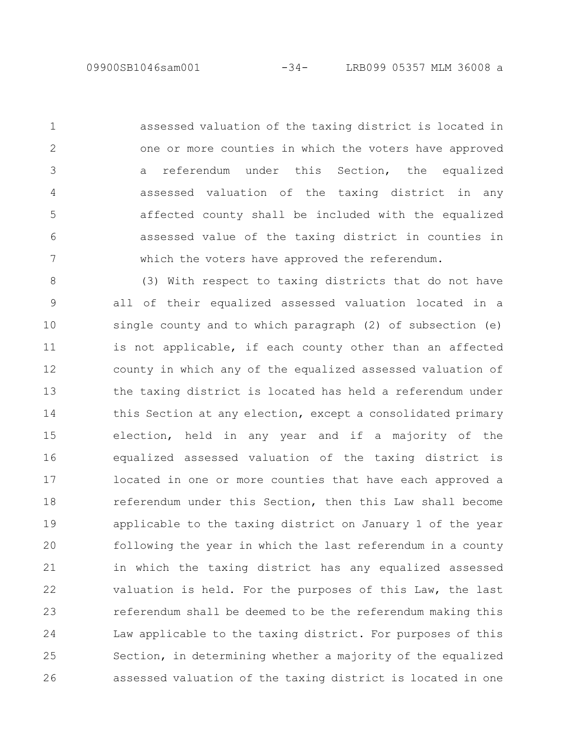1

2

3

4

5

6

7

assessed valuation of the taxing district is located in one or more counties in which the voters have approved a referendum under this Section, the equalized assessed valuation of the taxing district in any affected county shall be included with the equalized assessed value of the taxing district in counties in which the voters have approved the referendum.

(3) With respect to taxing districts that do not have all of their equalized assessed valuation located in a single county and to which paragraph (2) of subsection (e) is not applicable, if each county other than an affected county in which any of the equalized assessed valuation of the taxing district is located has held a referendum under this Section at any election, except a consolidated primary election, held in any year and if a majority of the equalized assessed valuation of the taxing district is located in one or more counties that have each approved a referendum under this Section, then this Law shall become applicable to the taxing district on January 1 of the year following the year in which the last referendum in a county in which the taxing district has any equalized assessed valuation is held. For the purposes of this Law, the last referendum shall be deemed to be the referendum making this Law applicable to the taxing district. For purposes of this Section, in determining whether a majority of the equalized assessed valuation of the taxing district is located in one 8 9 10 11 12 13 14 15 16 17 18 19 20 21 22 23 24 25 26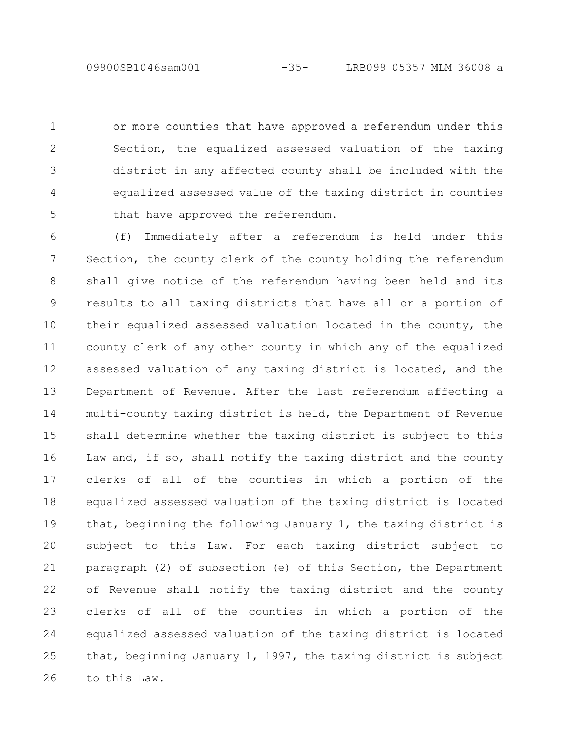or more counties that have approved a referendum under this Section, the equalized assessed valuation of the taxing district in any affected county shall be included with the equalized assessed value of the taxing district in counties that have approved the referendum. 1 2 3 4 5

(f) Immediately after a referendum is held under this Section, the county clerk of the county holding the referendum shall give notice of the referendum having been held and its results to all taxing districts that have all or a portion of their equalized assessed valuation located in the county, the county clerk of any other county in which any of the equalized assessed valuation of any taxing district is located, and the Department of Revenue. After the last referendum affecting a multi-county taxing district is held, the Department of Revenue shall determine whether the taxing district is subject to this Law and, if so, shall notify the taxing district and the county clerks of all of the counties in which a portion of the equalized assessed valuation of the taxing district is located that, beginning the following January 1, the taxing district is subject to this Law. For each taxing district subject to paragraph (2) of subsection (e) of this Section, the Department of Revenue shall notify the taxing district and the county clerks of all of the counties in which a portion of the equalized assessed valuation of the taxing district is located that, beginning January 1, 1997, the taxing district is subject to this Law. 6 7 8 9 10 11 12 13 14 15 16 17 18 19 20 21 22 23 24 25 26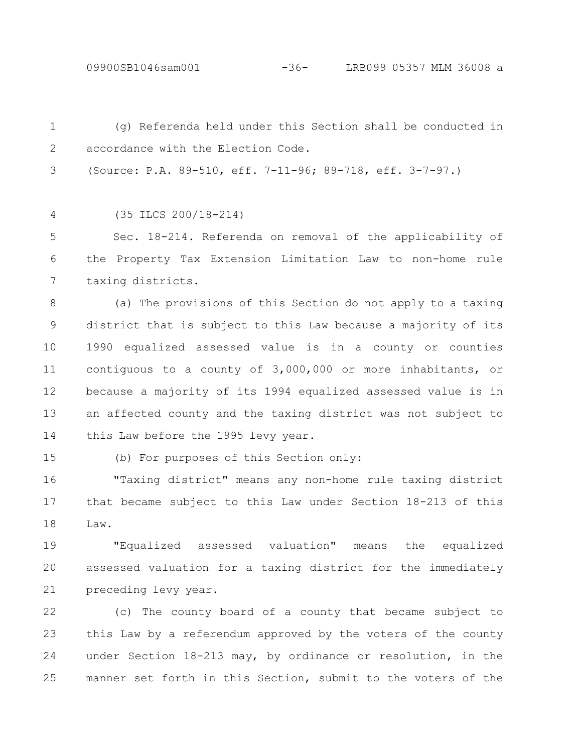(g) Referenda held under this Section shall be conducted in accordance with the Election Code. 1 2

(Source: P.A. 89-510, eff. 7-11-96; 89-718, eff. 3-7-97.) 3

(35 ILCS 200/18-214) 4

Sec. 18-214. Referenda on removal of the applicability of the Property Tax Extension Limitation Law to non-home rule taxing districts. 5 6 7

(a) The provisions of this Section do not apply to a taxing district that is subject to this Law because a majority of its 1990 equalized assessed value is in a county or counties contiguous to a county of 3,000,000 or more inhabitants, or because a majority of its 1994 equalized assessed value is in an affected county and the taxing district was not subject to this Law before the 1995 levy year. 8 9 10 11 12 13 14

15

(b) For purposes of this Section only:

"Taxing district" means any non-home rule taxing district that became subject to this Law under Section 18-213 of this Law. 16 17 18

"Equalized assessed valuation" means the equalized assessed valuation for a taxing district for the immediately preceding levy year. 19 20 21

(c) The county board of a county that became subject to this Law by a referendum approved by the voters of the county under Section 18-213 may, by ordinance or resolution, in the manner set forth in this Section, submit to the voters of the 22 23 24 25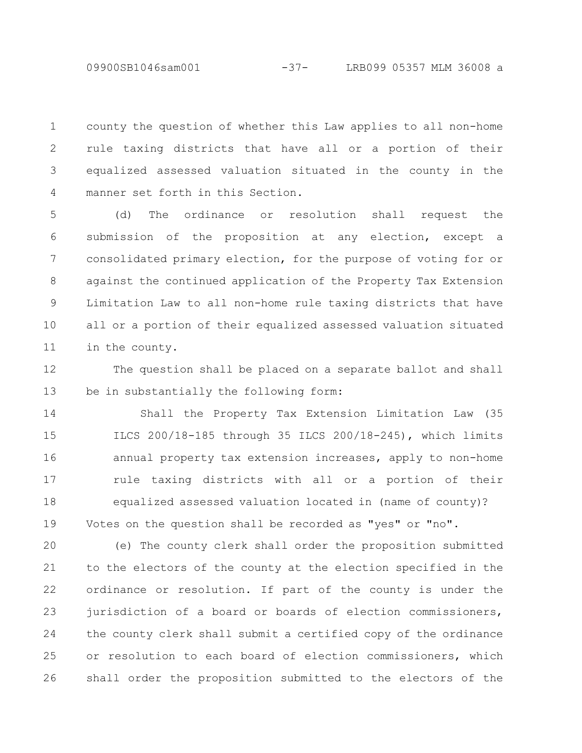county the question of whether this Law applies to all non-home rule taxing districts that have all or a portion of their equalized assessed valuation situated in the county in the manner set forth in this Section. 1 2 3 4

(d) The ordinance or resolution shall request the submission of the proposition at any election, except a consolidated primary election, for the purpose of voting for or against the continued application of the Property Tax Extension Limitation Law to all non-home rule taxing districts that have all or a portion of their equalized assessed valuation situated in the county. 5 6 7 8 9 10 11

The question shall be placed on a separate ballot and shall be in substantially the following form: 12 13

Shall the Property Tax Extension Limitation Law (35 ILCS 200/18-185 through 35 ILCS 200/18-245), which limits annual property tax extension increases, apply to non-home rule taxing districts with all or a portion of their equalized assessed valuation located in (name of county)? Votes on the question shall be recorded as "yes" or "no". 14 15 16 17 18 19

(e) The county clerk shall order the proposition submitted to the electors of the county at the election specified in the ordinance or resolution. If part of the county is under the jurisdiction of a board or boards of election commissioners, the county clerk shall submit a certified copy of the ordinance or resolution to each board of election commissioners, which shall order the proposition submitted to the electors of the 20 21 22 23 24 25 26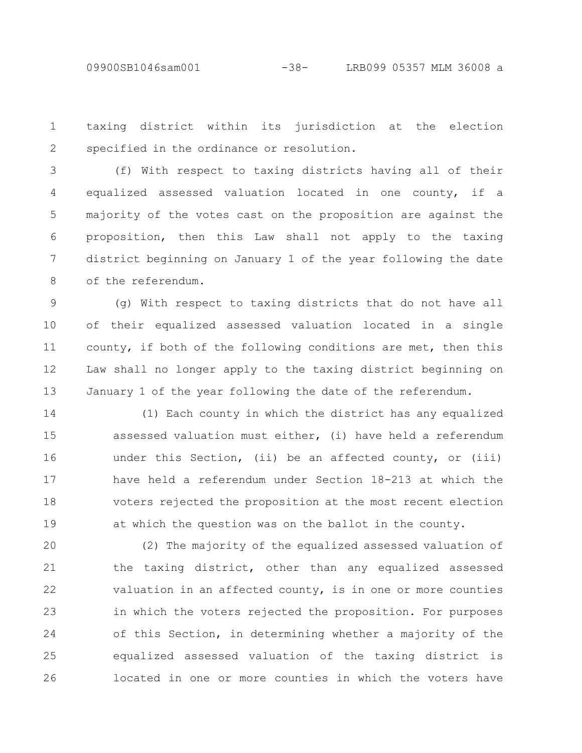taxing district within its jurisdiction at the election specified in the ordinance or resolution. 1 2

(f) With respect to taxing districts having all of their equalized assessed valuation located in one county, if a majority of the votes cast on the proposition are against the proposition, then this Law shall not apply to the taxing district beginning on January 1 of the year following the date of the referendum. 3 4 5 6 7 8

(g) With respect to taxing districts that do not have all of their equalized assessed valuation located in a single county, if both of the following conditions are met, then this Law shall no longer apply to the taxing district beginning on January 1 of the year following the date of the referendum. 9 10 11 12 13

(1) Each county in which the district has any equalized assessed valuation must either, (i) have held a referendum under this Section, (ii) be an affected county, or (iii) have held a referendum under Section 18-213 at which the voters rejected the proposition at the most recent election at which the question was on the ballot in the county. 14 15 16 17 18 19

(2) The majority of the equalized assessed valuation of the taxing district, other than any equalized assessed valuation in an affected county, is in one or more counties in which the voters rejected the proposition. For purposes of this Section, in determining whether a majority of the equalized assessed valuation of the taxing district is located in one or more counties in which the voters have 20 21 22 23 24 25 26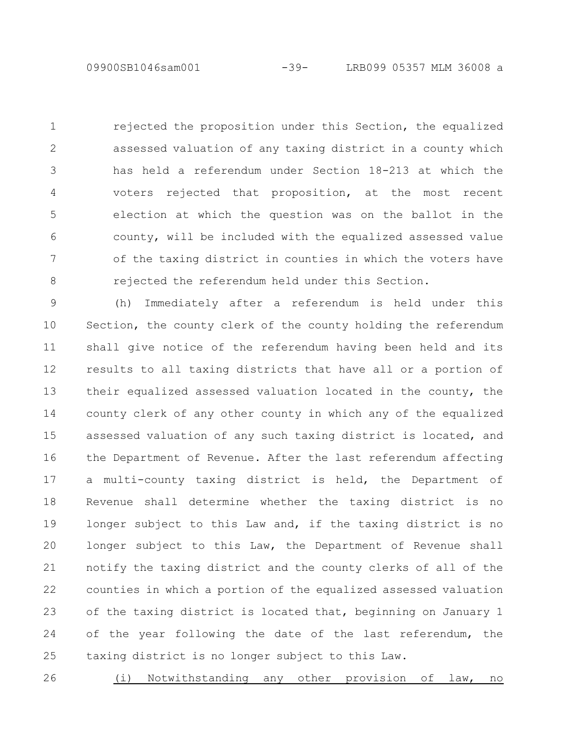rejected the proposition under this Section, the equalized assessed valuation of any taxing district in a county which has held a referendum under Section 18-213 at which the voters rejected that proposition, at the most recent election at which the question was on the ballot in the county, will be included with the equalized assessed value of the taxing district in counties in which the voters have rejected the referendum held under this Section. 1 2 3 4 5 6 7 8

(h) Immediately after a referendum is held under this Section, the county clerk of the county holding the referendum shall give notice of the referendum having been held and its results to all taxing districts that have all or a portion of their equalized assessed valuation located in the county, the county clerk of any other county in which any of the equalized assessed valuation of any such taxing district is located, and the Department of Revenue. After the last referendum affecting a multi-county taxing district is held, the Department of Revenue shall determine whether the taxing district is no longer subject to this Law and, if the taxing district is no longer subject to this Law, the Department of Revenue shall notify the taxing district and the county clerks of all of the counties in which a portion of the equalized assessed valuation of the taxing district is located that, beginning on January 1 of the year following the date of the last referendum, the taxing district is no longer subject to this Law. 9 10 11 12 13 14 15 16 17 18 19 20 21 22 23 24 25

(i) Notwithstanding any other provision of law, no 26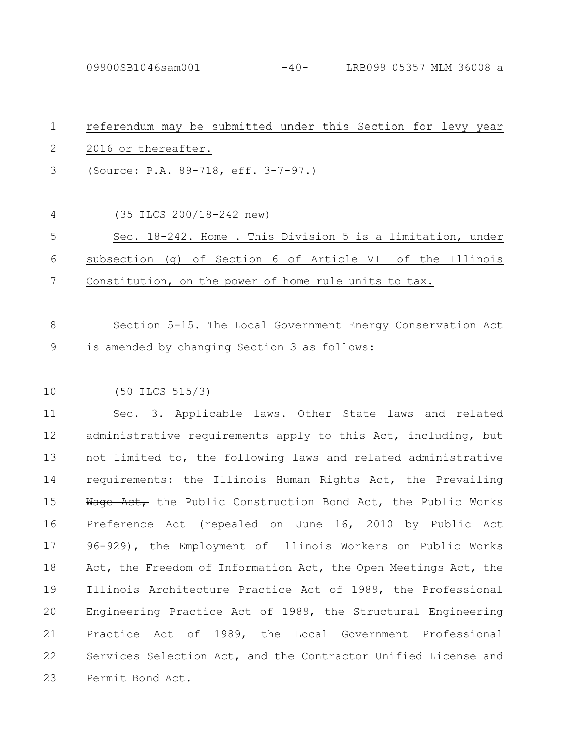09900SB1046sam001 -40- LRB099 05357 MLM 36008 a

| $\mathbf 1$ | referendum may be submitted under this Section for levy year    |
|-------------|-----------------------------------------------------------------|
| 2           | 2016 or thereafter.                                             |
| 3           | (Source: P.A. 89-718, eff. 3-7-97.)                             |
| 4           | (35 ILCS 200/18-242 new)                                        |
| 5           | Sec. 18-242. Home . This Division 5 is a limitation, under      |
| 6           | subsection (q) of Section 6 of Article VII of the Illinois      |
| 7           | Constitution, on the power of home rule units to tax.           |
|             |                                                                 |
| 8           | Section 5-15. The Local Government Energy Conservation Act      |
| 9           | is amended by changing Section 3 as follows:                    |
|             |                                                                 |
| 10          | $(50$ ILCS $515/3)$                                             |
| 11          | Sec. 3. Applicable laws. Other State laws and related           |
| 12          | administrative requirements apply to this Act, including, but   |
| 13          | not limited to, the following laws and related administrative   |
| 14          | requirements: the Illinois Human Rights Act, the Prevailing     |
| 15          | Wage Act, the Public Construction Bond Act, the Public Works    |
| 16          | Preference Act (repealed on June 16, 2010 by Public Act         |
| 17          | 96-929), the Employment of Illinois Workers on Public Works     |
| 18          | Act, the Freedom of Information Act, the Open Meetings Act, the |
| 19          | Illinois Architecture Practice Act of 1989, the Professional    |
| 20          | Engineering Practice Act of 1989, the Structural Engineering    |
| 21          | Practice Act of 1989, the Local Government Professional         |
| 22          | Services Selection Act, and the Contractor Unified License and  |
| 23          | Permit Bond Act.                                                |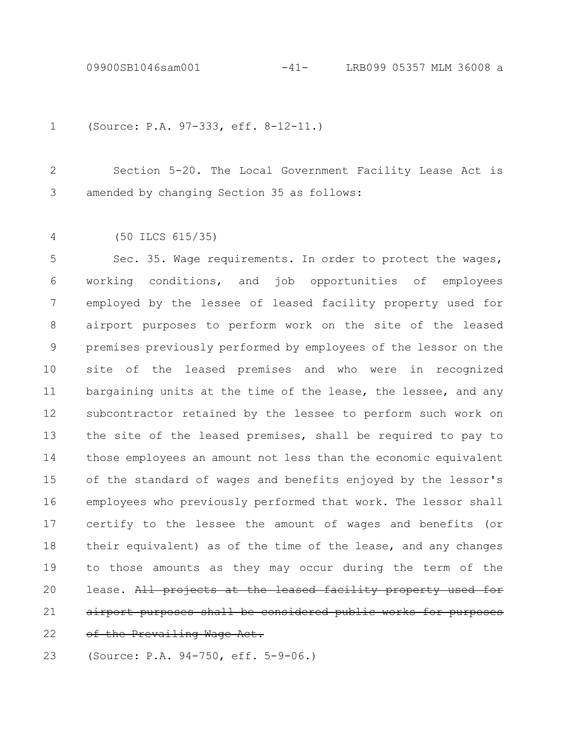09900SB1046sam001 -41- LRB099 05357 MLM 36008 a

```
(Source: P.A. 97-333, eff. 8-12-11.)
1
```
Section 5-20. The Local Government Facility Lease Act is amended by changing Section 35 as follows: 2 3

(50 ILCS 615/35) 4

Sec. 35. Wage requirements. In order to protect the wages, working conditions, and job opportunities of employees employed by the lessee of leased facility property used for airport purposes to perform work on the site of the leased premises previously performed by employees of the lessor on the site of the leased premises and who were in recognized bargaining units at the time of the lease, the lessee, and any subcontractor retained by the lessee to perform such work on the site of the leased premises, shall be required to pay to those employees an amount not less than the economic equivalent of the standard of wages and benefits enjoyed by the lessor's employees who previously performed that work. The lessor shall certify to the lessee the amount of wages and benefits (or their equivalent) as of the time of the lease, and any changes to those amounts as they may occur during the term of the lease. All projects at the leased facility property airport purposes shall be considered public works for of the Prevailing Wage Act. 5 6 7 8 9 10 11 12 13 14 15 16 17 18 19 20 21 22

(Source: P.A. 94-750, eff. 5-9-06.) 23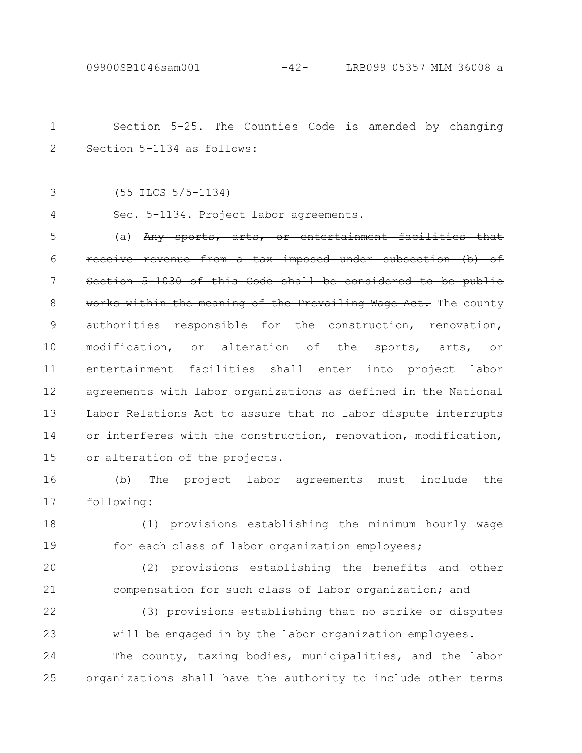Section 5-25. The Counties Code is amended by changing Section 5-1134 as follows: (55 ILCS 5/5-1134) Sec. 5-1134. Project labor agreements. (a)  $Any$  sports, arts, or entertainment facili receive revenue from a tax imposed under subsection (b) of Section 5-1030 of this Code shall be considered to be public works within the meaning of the Prevailing Wage Act. The county authorities responsible for the construction, renovation, modification, or alteration of the sports, arts, or entertainment facilities shall enter into project labor agreements with labor organizations as defined in the National Labor Relations Act to assure that no labor dispute interrupts or interferes with the construction, renovation, modification, or alteration of the projects. (b) The project labor agreements must include the following: 1 2 3 4 5 6 7 8 9 10 11 12 13 14 15 16 17

(1) provisions establishing the minimum hourly wage for each class of labor organization employees; 18 19

(2) provisions establishing the benefits and other compensation for such class of labor organization; and 20 21

(3) provisions establishing that no strike or disputes will be engaged in by the labor organization employees. The county, taxing bodies, municipalities, and the labor organizations shall have the authority to include other terms 22 23 24 25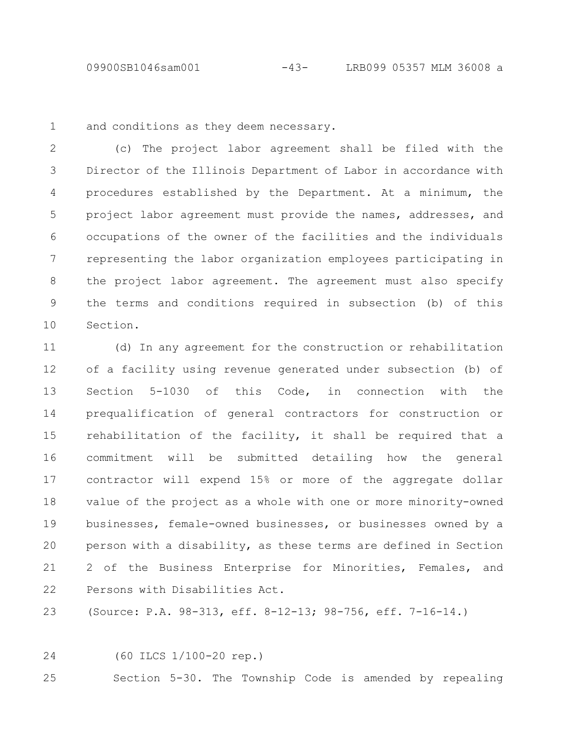09900SB1046sam001 -43- LRB099 05357 MLM 36008 a

and conditions as they deem necessary. 1

(c) The project labor agreement shall be filed with the Director of the Illinois Department of Labor in accordance with procedures established by the Department. At a minimum, the project labor agreement must provide the names, addresses, and occupations of the owner of the facilities and the individuals representing the labor organization employees participating in the project labor agreement. The agreement must also specify the terms and conditions required in subsection (b) of this Section. 2 3 4 5 6 7 8 9 10

(d) In any agreement for the construction or rehabilitation of a facility using revenue generated under subsection (b) of Section 5-1030 of this Code, in connection with the prequalification of general contractors for construction or rehabilitation of the facility, it shall be required that a commitment will be submitted detailing how the general contractor will expend 15% or more of the aggregate dollar value of the project as a whole with one or more minority-owned businesses, female-owned businesses, or businesses owned by a person with a disability, as these terms are defined in Section 2 of the Business Enterprise for Minorities, Females, and Persons with Disabilities Act. 11 12 13 14 15 16 17 18 19 20 21 22

(Source: P.A. 98-313, eff. 8-12-13; 98-756, eff. 7-16-14.) 23

24

(60 ILCS 1/100-20 rep.)

Section 5-30. The Township Code is amended by repealing 25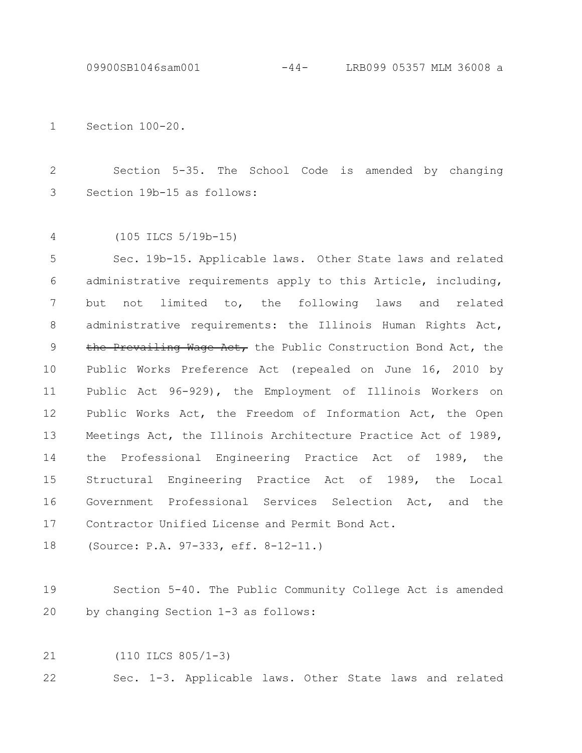09900SB1046sam001 -44- LRB099 05357 MLM 36008 a

Section 100-20. 1

Section 5-35. The School Code is amended by changing Section 19b-15 as follows: 2 3

(105 ILCS 5/19b-15) 4

Sec. 19b-15. Applicable laws. Other State laws and related administrative requirements apply to this Article, including, but not limited to, the following laws and related administrative requirements: the Illinois Human Rights Act, the Prevailing Wage Act, the Public Construction Bond Act, the Public Works Preference Act (repealed on June 16, 2010 by Public Act 96-929), the Employment of Illinois Workers on Public Works Act, the Freedom of Information Act, the Open Meetings Act, the Illinois Architecture Practice Act of 1989, the Professional Engineering Practice Act of 1989, the Structural Engineering Practice Act of 1989, the Local Government Professional Services Selection Act, and the Contractor Unified License and Permit Bond Act. 5 6 7 8 9 10 11 12 13 14 15 16 17

(Source: P.A. 97-333, eff. 8-12-11.) 18

Section 5-40. The Public Community College Act is amended by changing Section 1-3 as follows: 19 20

(110 ILCS 805/1-3) 21

Sec. 1-3. Applicable laws. Other State laws and related 22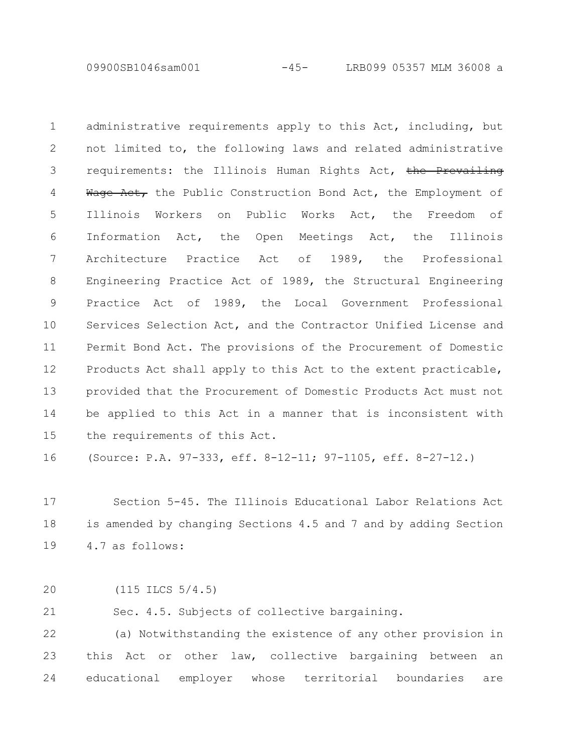09900SB1046sam001 -45- LRB099 05357 MLM 36008 a

administrative requirements apply to this Act, including, but not limited to, the following laws and related administrative requirements: the Illinois Human Rights Act, the Prevailing Wage Act, the Public Construction Bond Act, the Employment of Illinois Workers on Public Works Act, the Freedom of Information Act, the Open Meetings Act, the Illinois Architecture Practice Act of 1989, the Professional Engineering Practice Act of 1989, the Structural Engineering Practice Act of 1989, the Local Government Professional Services Selection Act, and the Contractor Unified License and Permit Bond Act. The provisions of the Procurement of Domestic Products Act shall apply to this Act to the extent practicable, provided that the Procurement of Domestic Products Act must not be applied to this Act in a manner that is inconsistent with the requirements of this Act. 1 2 3 4 5 6 7 8 9 10 11 12 13 14 15

(Source: P.A. 97-333, eff. 8-12-11; 97-1105, eff. 8-27-12.) 16

Section 5-45. The Illinois Educational Labor Relations Act is amended by changing Sections 4.5 and 7 and by adding Section 4.7 as follows: 17 18 19

(115 ILCS 5/4.5) 20

Sec. 4.5. Subjects of collective bargaining. 21

(a) Notwithstanding the existence of any other provision in this Act or other law, collective bargaining between an educational employer whose territorial boundaries are 22 23 24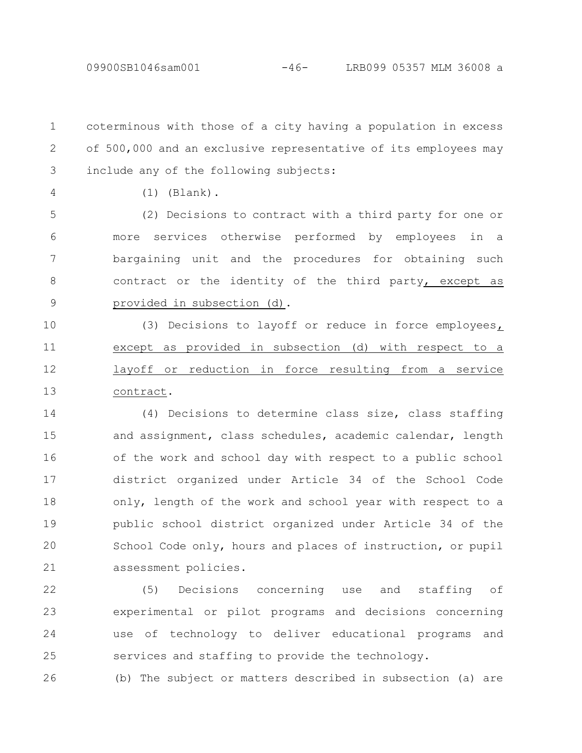coterminous with those of a city having a population in excess of 500,000 and an exclusive representative of its employees may include any of the following subjects: 1 2 3

4

(1) (Blank).

(2) Decisions to contract with a third party for one or more services otherwise performed by employees in a bargaining unit and the procedures for obtaining such contract or the identity of the third party, except as provided in subsection (d). 5 6 7 8 9

(3) Decisions to layoff or reduce in force employees, except as provided in subsection (d) with respect to a layoff or reduction in force resulting from a service contract. 10 11 12 13

(4) Decisions to determine class size, class staffing and assignment, class schedules, academic calendar, length of the work and school day with respect to a public school district organized under Article 34 of the School Code only, length of the work and school year with respect to a public school district organized under Article 34 of the School Code only, hours and places of instruction, or pupil assessment policies. 14 15 16 17 18 19 20 21

(5) Decisions concerning use and staffing of experimental or pilot programs and decisions concerning use of technology to deliver educational programs and services and staffing to provide the technology. 22 23 24 25

26

(b) The subject or matters described in subsection (a) are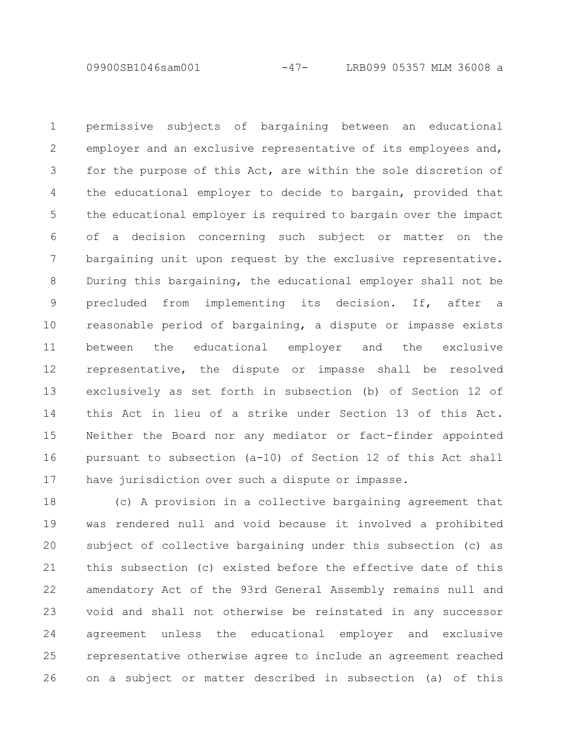09900SB1046sam001 -47- LRB099 05357 MLM 36008 a

permissive subjects of bargaining between an educational employer and an exclusive representative of its employees and, for the purpose of this Act, are within the sole discretion of the educational employer to decide to bargain, provided that the educational employer is required to bargain over the impact of a decision concerning such subject or matter on the bargaining unit upon request by the exclusive representative. During this bargaining, the educational employer shall not be precluded from implementing its decision. If, after a reasonable period of bargaining, a dispute or impasse exists between the educational employer and the exclusive representative, the dispute or impasse shall be resolved exclusively as set forth in subsection (b) of Section 12 of this Act in lieu of a strike under Section 13 of this Act. Neither the Board nor any mediator or fact-finder appointed pursuant to subsection (a-10) of Section 12 of this Act shall have jurisdiction over such a dispute or impasse. 1 2 3 4 5 6 7 8 9 10 11 12 13 14 15 16 17

(c) A provision in a collective bargaining agreement that was rendered null and void because it involved a prohibited subject of collective bargaining under this subsection (c) as this subsection (c) existed before the effective date of this amendatory Act of the 93rd General Assembly remains null and void and shall not otherwise be reinstated in any successor agreement unless the educational employer and exclusive representative otherwise agree to include an agreement reached on a subject or matter described in subsection (a) of this 18 19 20 21 22 23 24 25 26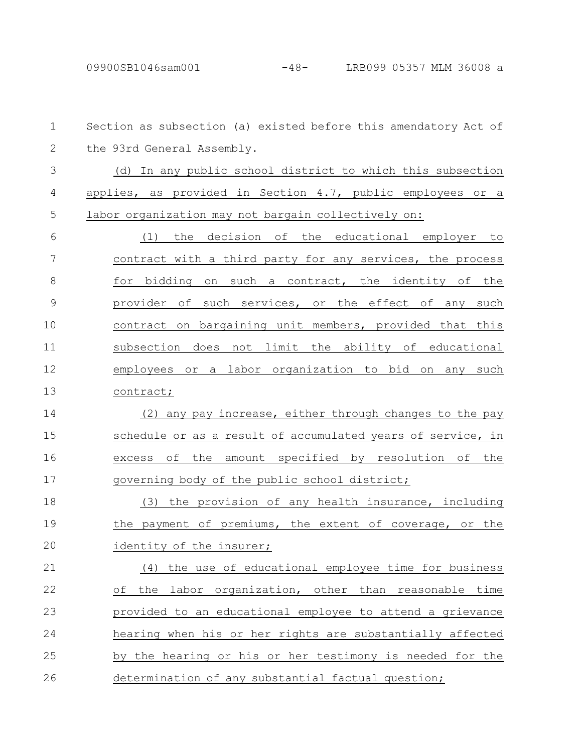Section as subsection (a) existed before this amendatory Act of the 93rd General Assembly. (d) In any public school district to which this subsection applies, as provided in Section 4.7, public employees or a labor organization may not bargain collectively on: (1) the decision of the educational employer to contract with a third party for any services, the process for bidding on such a contract, the identity of the provider of such services, or the effect of any such contract on bargaining unit members, provided that this subsection does not limit the ability of educational employees or a labor organization to bid on any such contract; (2) any pay increase, either through changes to the pay schedule or as a result of accumulated years of service, in excess of the amount specified by resolution of the governing body of the public school district; (3) the provision of any health insurance, including the payment of premiums, the extent of coverage, or the identity of the insurer; (4) the use of educational employee time for business of the labor organization, other than reasonable time provided to an educational employee to attend a grievance hearing when his or her rights are substantially affected by the hearing or his or her testimony is needed for the determination of any substantial factual question; 1 2 3 4 5 6 7 8 9 10 11 12 13 14 15 16 17 18 19 20 21 22 23 24 25 26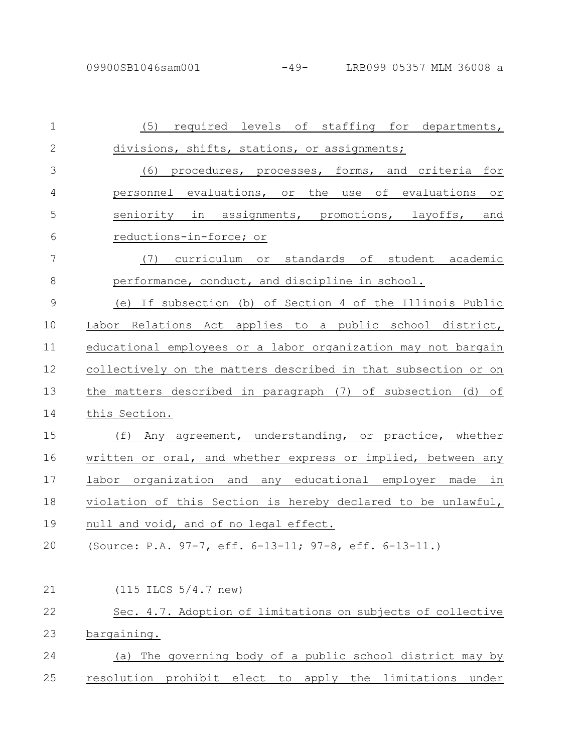| $\mathbf 1$    | (5) required levels of staffing for departments,               |
|----------------|----------------------------------------------------------------|
| $\mathbf{2}$   | divisions, shifts, stations, or assignments;                   |
| 3              | (6) procedures, processes, forms, and criteria for             |
| 4              | personnel evaluations, or the use of evaluations or            |
| 5              | seniority in assignments, promotions, layoffs, and             |
| 6              | reductions-in-force; or                                        |
| 7              | (7) curriculum or standards of student academic                |
| 8              | performance, conduct, and discipline in school.                |
| $\overline{9}$ | (e) If subsection (b) of Section 4 of the Illinois Public      |
| 10             | Labor Relations Act applies to a public school district,       |
| 11             | educational employees or a labor organization may not bargain  |
| 12             | collectively on the matters described in that subsection or on |
| 13             | the matters described in paragraph (7) of subsection (d) of    |
| 14             | this Section.                                                  |
| 15             | Any agreement, understanding, or practice, whether<br>(f)      |
| 16             | written or oral, and whether express or implied, between any   |
| 17             | labor organization and any educational employer made in        |
| 18             | violation of this Section is hereby declared to be unlawful,   |
| 19             | null and void, and of no legal effect.                         |
| 20             | (Source: P.A. 97-7, eff. 6-13-11; 97-8, eff. 6-13-11.)         |
|                |                                                                |
| 21             | $(115$ ILCS $5/4.7$ new)                                       |
| 22             | Sec. 4.7. Adoption of limitations on subjects of collective    |
| 23             | <u>bargaining.</u>                                             |
| 24             | The governing body of a public school district may by<br>(a)   |
| 25             | resolution prohibit elect to apply the limitations<br>under    |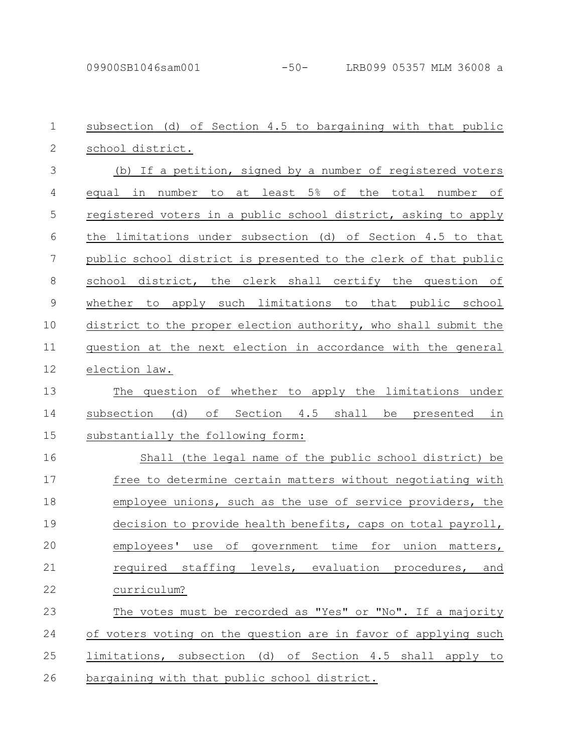| $\mathbf 1$   | subsection (d) of Section 4.5 to bargaining with that public          |
|---------------|-----------------------------------------------------------------------|
| $\mathbf{2}$  | school district.                                                      |
| 3             | (b) If a petition, signed by a number of registered voters            |
| 4             | equal in number to at least 5% of the total number of                 |
| 5             | registered voters in a public school district, asking to apply        |
| 6             | the limitations under subsection (d) of Section 4.5 to that           |
| 7             | public school district is presented to the clerk of that public       |
| $\,8\,$       | school district, the clerk shall certify the question of              |
| $\mathcal{G}$ | apply such limitations to that public school<br>whether<br>to         |
| 10            | district to the proper election authority, who shall submit the       |
| 11            | question at the next election in accordance with the general          |
| 12            | election law.                                                         |
| 13            | The question of whether to apply the limitations under                |
| 14            | оf<br>(d)<br>Section 4.5<br>shall<br>subsection<br>be<br>presented in |
| 15            | substantially the following form:                                     |
| 16            | Shall (the legal name of the public school district) be               |
| 17            | free to determine certain matters without negotiating with            |
| 18            | employee unions, such as the use of service providers, the            |
| 19            | decision to provide health benefits, caps on total payroll,           |
| 20            | employees' use of government time for union matters,                  |
| 21            | required staffing levels, evaluation procedures,<br>and               |
| 22            | curriculum?                                                           |
| 23            | The votes must be recorded as "Yes" or "No". If a majority            |
| 24            | of voters voting on the question are in favor of applying such        |
| 25            | limitations, subsection (d) of Section 4.5 shall apply to             |
| 26            | bargaining with that public school district.                          |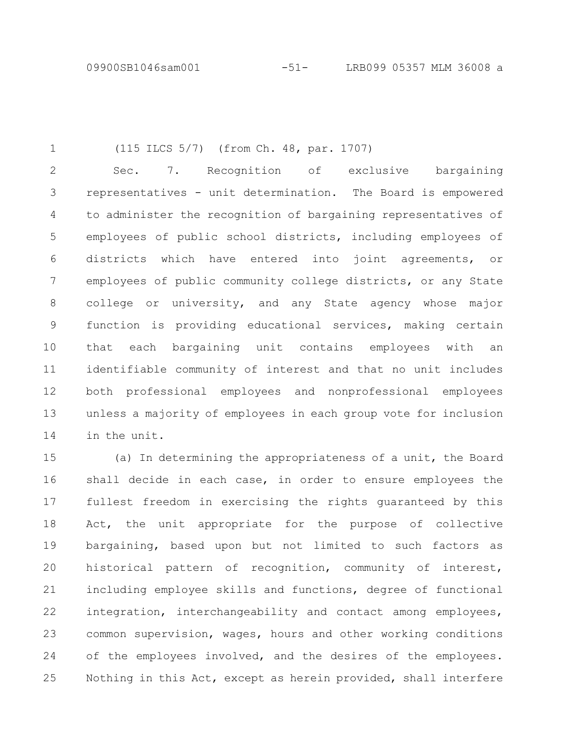(115 ILCS 5/7) (from Ch. 48, par. 1707) 1

Sec. 7. Recognition of exclusive bargaining representatives - unit determination. The Board is empowered to administer the recognition of bargaining representatives of employees of public school districts, including employees of districts which have entered into joint agreements, or employees of public community college districts, or any State college or university, and any State agency whose major function is providing educational services, making certain that each bargaining unit contains employees with an identifiable community of interest and that no unit includes both professional employees and nonprofessional employees unless a majority of employees in each group vote for inclusion in the unit. 2 3 4 5 6 7 8 9 10 11 12 13 14

(a) In determining the appropriateness of a unit, the Board shall decide in each case, in order to ensure employees the fullest freedom in exercising the rights guaranteed by this Act, the unit appropriate for the purpose of collective bargaining, based upon but not limited to such factors as historical pattern of recognition, community of interest, including employee skills and functions, degree of functional integration, interchangeability and contact among employees, common supervision, wages, hours and other working conditions of the employees involved, and the desires of the employees. Nothing in this Act, except as herein provided, shall interfere 15 16 17 18 19 20 21 22 23 24 25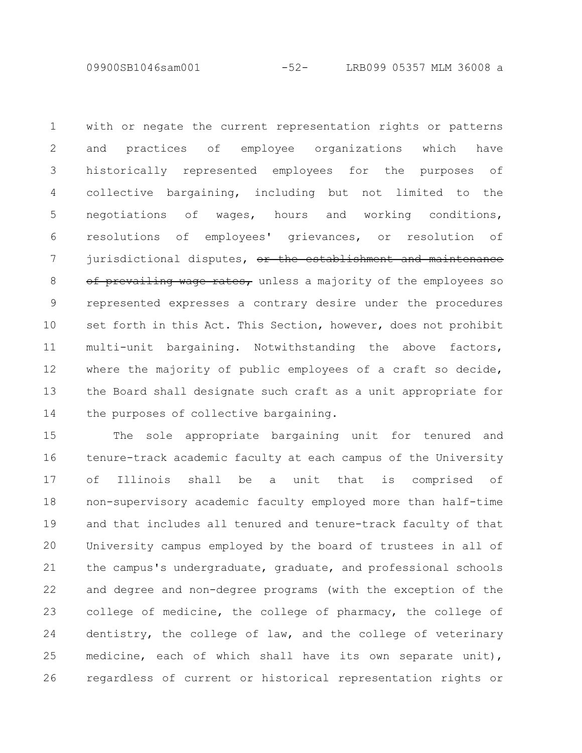09900SB1046sam001 -52- LRB099 05357 MLM 36008 a

with or negate the current representation rights or patterns and practices of employee organizations which have historically represented employees for the purposes of collective bargaining, including but not limited to the negotiations of wages, hours and working conditions, resolutions of employees' grievances, or resolution of jurisdictional disputes, or the establishment and maintenance of prevailing wage rates, unless a majority of the employees so represented expresses a contrary desire under the procedures set forth in this Act. This Section, however, does not prohibit multi-unit bargaining. Notwithstanding the above factors, where the majority of public employees of a craft so decide, the Board shall designate such craft as a unit appropriate for the purposes of collective bargaining. 1 2 3 4 5 6 7 8 9 10 11 12 13 14

The sole appropriate bargaining unit for tenured and tenure-track academic faculty at each campus of the University of Illinois shall be a unit that is comprised of non-supervisory academic faculty employed more than half-time and that includes all tenured and tenure-track faculty of that University campus employed by the board of trustees in all of the campus's undergraduate, graduate, and professional schools and degree and non-degree programs (with the exception of the college of medicine, the college of pharmacy, the college of dentistry, the college of law, and the college of veterinary medicine, each of which shall have its own separate unit), regardless of current or historical representation rights or 15 16 17 18 19 20 21 22 23 24 25 26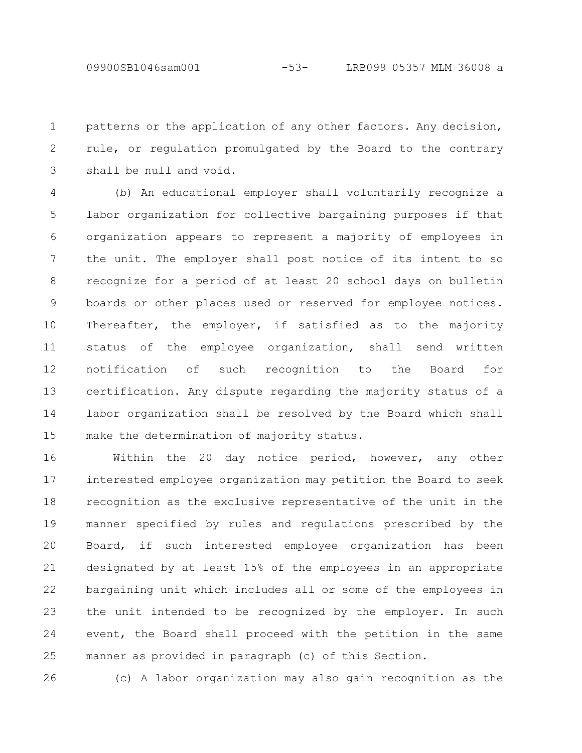patterns or the application of any other factors. Any decision, rule, or regulation promulgated by the Board to the contrary shall be null and void. 1 2 3

(b) An educational employer shall voluntarily recognize a labor organization for collective bargaining purposes if that organization appears to represent a majority of employees in the unit. The employer shall post notice of its intent to so recognize for a period of at least 20 school days on bulletin boards or other places used or reserved for employee notices. Thereafter, the employer, if satisfied as to the majority status of the employee organization, shall send written notification of such recognition to the Board for certification. Any dispute regarding the majority status of a labor organization shall be resolved by the Board which shall make the determination of majority status. 4 5 6 7 8 9 10 11 12 13 14 15

Within the 20 day notice period, however, any other interested employee organization may petition the Board to seek recognition as the exclusive representative of the unit in the manner specified by rules and regulations prescribed by the Board, if such interested employee organization has been designated by at least 15% of the employees in an appropriate bargaining unit which includes all or some of the employees in the unit intended to be recognized by the employer. In such event, the Board shall proceed with the petition in the same manner as provided in paragraph (c) of this Section. 16 17 18 19 20 21 22 23 24 25

26

(c) A labor organization may also gain recognition as the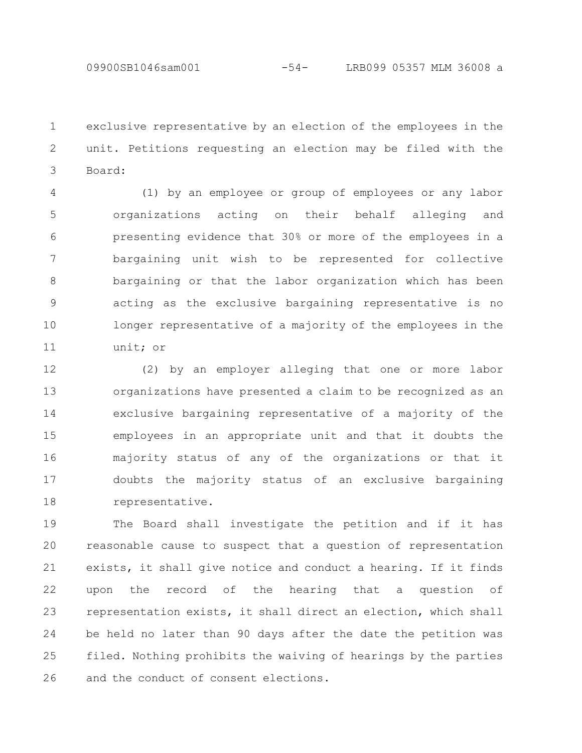09900SB1046sam001 -54- LRB099 05357 MLM 36008 a

exclusive representative by an election of the employees in the unit. Petitions requesting an election may be filed with the Board: 1 2 3

(1) by an employee or group of employees or any labor organizations acting on their behalf alleging and presenting evidence that 30% or more of the employees in a bargaining unit wish to be represented for collective bargaining or that the labor organization which has been acting as the exclusive bargaining representative is no longer representative of a majority of the employees in the unit; or 4 5 6 7 8 9 10 11

(2) by an employer alleging that one or more labor organizations have presented a claim to be recognized as an exclusive bargaining representative of a majority of the employees in an appropriate unit and that it doubts the majority status of any of the organizations or that it doubts the majority status of an exclusive bargaining representative. 12 13 14 15 16 17 18

The Board shall investigate the petition and if it has reasonable cause to suspect that a question of representation exists, it shall give notice and conduct a hearing. If it finds upon the record of the hearing that a question of representation exists, it shall direct an election, which shall be held no later than 90 days after the date the petition was filed. Nothing prohibits the waiving of hearings by the parties and the conduct of consent elections. 19 20 21 22 23 24 25 26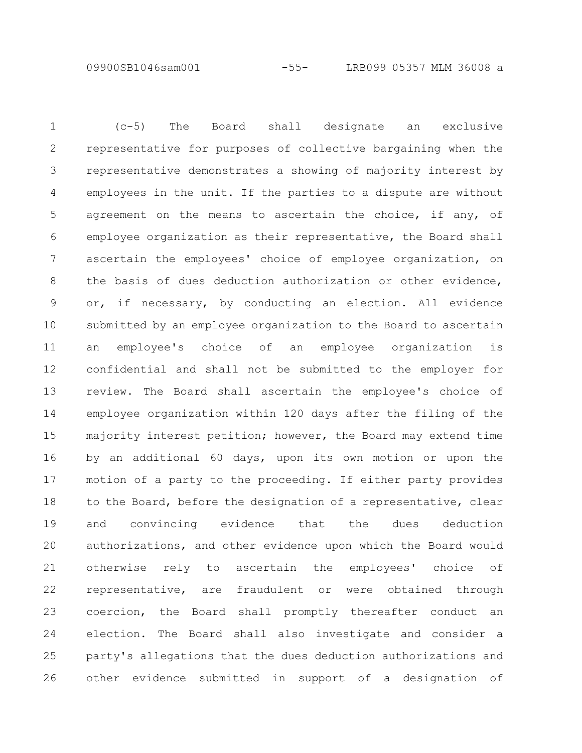09900SB1046sam001 -55- LRB099 05357 MLM 36008 a

(c-5) The Board shall designate an exclusive representative for purposes of collective bargaining when the representative demonstrates a showing of majority interest by employees in the unit. If the parties to a dispute are without agreement on the means to ascertain the choice, if any, of employee organization as their representative, the Board shall ascertain the employees' choice of employee organization, on the basis of dues deduction authorization or other evidence, or, if necessary, by conducting an election. All evidence submitted by an employee organization to the Board to ascertain an employee's choice of an employee organization is confidential and shall not be submitted to the employer for review. The Board shall ascertain the employee's choice of employee organization within 120 days after the filing of the majority interest petition; however, the Board may extend time by an additional 60 days, upon its own motion or upon the motion of a party to the proceeding. If either party provides to the Board, before the designation of a representative, clear and convincing evidence that the dues deduction authorizations, and other evidence upon which the Board would otherwise rely to ascertain the employees' choice of representative, are fraudulent or were obtained through coercion, the Board shall promptly thereafter conduct an election. The Board shall also investigate and consider a party's allegations that the dues deduction authorizations and other evidence submitted in support of a designation of 1 2 3 4 5 6 7 8 9 10 11 12 13 14 15 16 17 18 19 20 21 22 23 24 25 26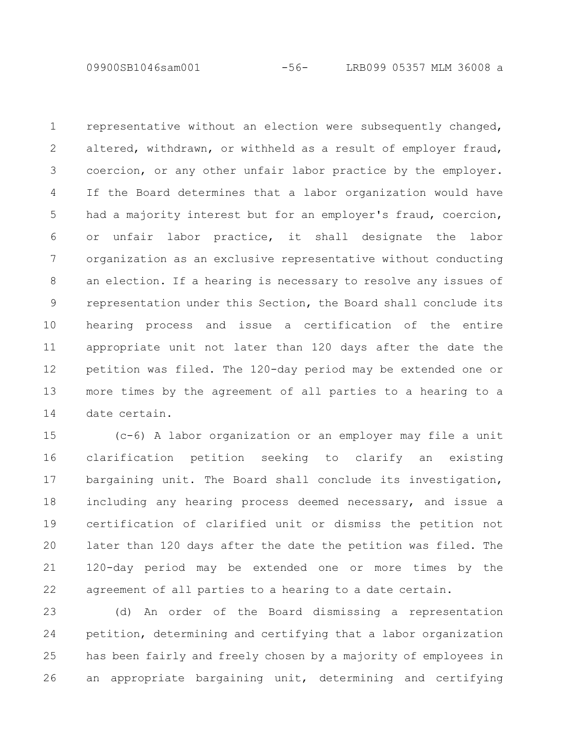09900SB1046sam001 -56- LRB099 05357 MLM 36008 a

representative without an election were subsequently changed, altered, withdrawn, or withheld as a result of employer fraud, coercion, or any other unfair labor practice by the employer. If the Board determines that a labor organization would have had a majority interest but for an employer's fraud, coercion, or unfair labor practice, it shall designate the labor organization as an exclusive representative without conducting an election. If a hearing is necessary to resolve any issues of representation under this Section, the Board shall conclude its hearing process and issue a certification of the entire appropriate unit not later than 120 days after the date the petition was filed. The 120-day period may be extended one or more times by the agreement of all parties to a hearing to a date certain. 1 2 3 4 5 6 7 8 9 10 11 12 13 14

(c-6) A labor organization or an employer may file a unit clarification petition seeking to clarify an existing bargaining unit. The Board shall conclude its investigation, including any hearing process deemed necessary, and issue a certification of clarified unit or dismiss the petition not later than 120 days after the date the petition was filed. The 120-day period may be extended one or more times by the agreement of all parties to a hearing to a date certain. 15 16 17 18 19 20 21 22

(d) An order of the Board dismissing a representation petition, determining and certifying that a labor organization has been fairly and freely chosen by a majority of employees in an appropriate bargaining unit, determining and certifying 23 24 25 26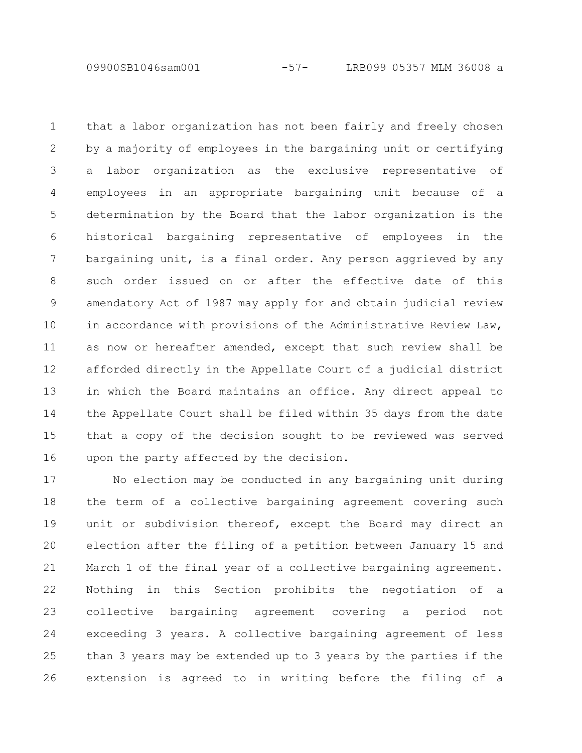09900SB1046sam001 -57- LRB099 05357 MLM 36008 a

that a labor organization has not been fairly and freely chosen by a majority of employees in the bargaining unit or certifying a labor organization as the exclusive representative of employees in an appropriate bargaining unit because of a determination by the Board that the labor organization is the historical bargaining representative of employees in the bargaining unit, is a final order. Any person aggrieved by any such order issued on or after the effective date of this amendatory Act of 1987 may apply for and obtain judicial review in accordance with provisions of the Administrative Review Law, as now or hereafter amended, except that such review shall be afforded directly in the Appellate Court of a judicial district in which the Board maintains an office. Any direct appeal to the Appellate Court shall be filed within 35 days from the date that a copy of the decision sought to be reviewed was served upon the party affected by the decision. 1 2 3 4 5 6 7 8 9 10 11 12 13 14 15 16

No election may be conducted in any bargaining unit during the term of a collective bargaining agreement covering such unit or subdivision thereof, except the Board may direct an election after the filing of a petition between January 15 and March 1 of the final year of a collective bargaining agreement. Nothing in this Section prohibits the negotiation of a collective bargaining agreement covering a period not exceeding 3 years. A collective bargaining agreement of less than 3 years may be extended up to 3 years by the parties if the extension is agreed to in writing before the filing of a 17 18 19 20 21 22 23 24 25 26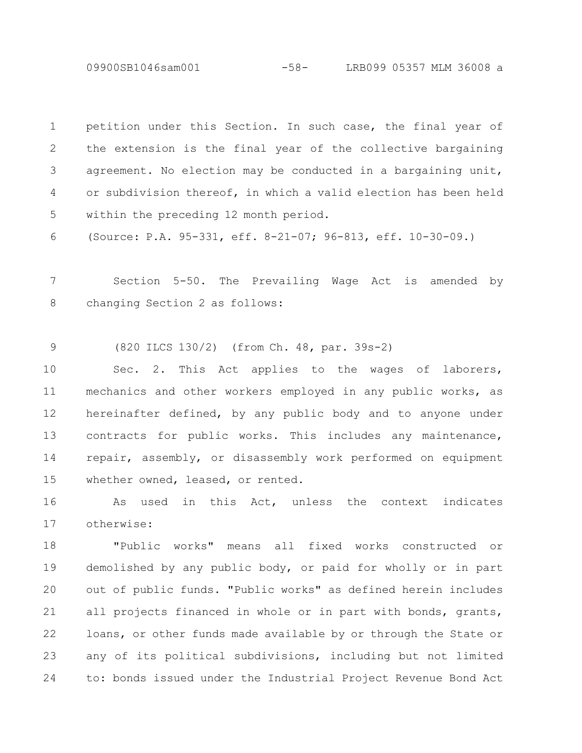09900SB1046sam001 -58- LRB099 05357 MLM 36008 a

petition under this Section. In such case, the final year of the extension is the final year of the collective bargaining agreement. No election may be conducted in a bargaining unit, or subdivision thereof, in which a valid election has been held within the preceding 12 month period. 1 2 3 4 5

(Source: P.A. 95-331, eff. 8-21-07; 96-813, eff. 10-30-09.) 6

Section 5-50. The Prevailing Wage Act is amended by changing Section 2 as follows: 7 8

(820 ILCS 130/2) (from Ch. 48, par. 39s-2) 9

Sec. 2. This Act applies to the wages of laborers, mechanics and other workers employed in any public works, as hereinafter defined, by any public body and to anyone under contracts for public works. This includes any maintenance, repair, assembly, or disassembly work performed on equipment whether owned, leased, or rented. 10 11 12 13 14 15

As used in this Act, unless the context indicates otherwise: 16 17

"Public works" means all fixed works constructed or demolished by any public body, or paid for wholly or in part out of public funds. "Public works" as defined herein includes all projects financed in whole or in part with bonds, grants, loans, or other funds made available by or through the State or any of its political subdivisions, including but not limited to: bonds issued under the Industrial Project Revenue Bond Act 18 19 20 21 22 23 24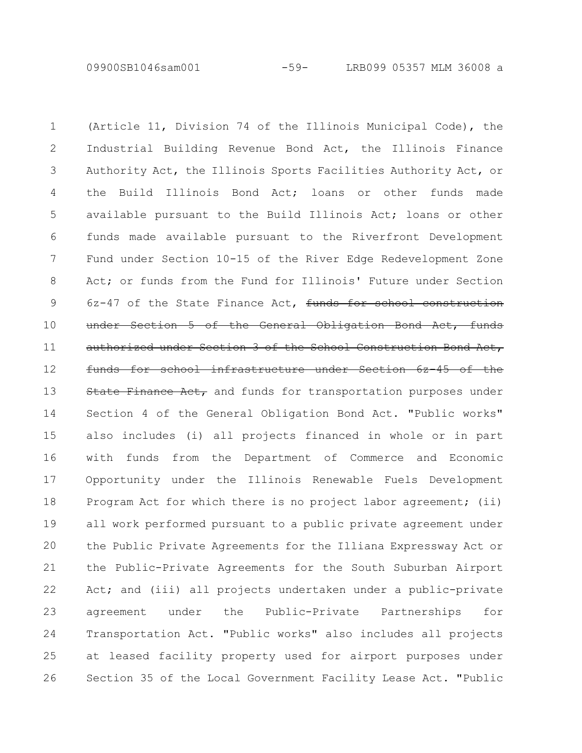09900SB1046sam001 -59- LRB099 05357 MLM 36008 a

(Article 11, Division 74 of the Illinois Municipal Code), the Industrial Building Revenue Bond Act, the Illinois Finance Authority Act, the Illinois Sports Facilities Authority Act, or the Build Illinois Bond Act; loans or other funds made available pursuant to the Build Illinois Act; loans or other funds made available pursuant to the Riverfront Development Fund under Section 10-15 of the River Edge Redevelopment Zone Act; or funds from the Fund for Illinois' Future under Section 6z-47 of the State Finance Act, funds for school construction under Section 5 of the General Obligation Bond Act, funds authorized under Section 3 of the School Construction Bond Act, funds for school infrastructure under Section 6z-45 of the State Finance Act, and funds for transportation purposes under Section 4 of the General Obligation Bond Act. "Public works" also includes (i) all projects financed in whole or in part with funds from the Department of Commerce and Economic Opportunity under the Illinois Renewable Fuels Development Program Act for which there is no project labor agreement; (ii) all work performed pursuant to a public private agreement under the Public Private Agreements for the Illiana Expressway Act or the Public-Private Agreements for the South Suburban Airport Act; and (iii) all projects undertaken under a public-private agreement under the Public-Private Partnerships for Transportation Act. "Public works" also includes all projects at leased facility property used for airport purposes under Section 35 of the Local Government Facility Lease Act. "Public 1 2 3 4 5 6 7 8 9 10 11 12 13 14 15 16 17 18 19 20 21 22 23 24 25 26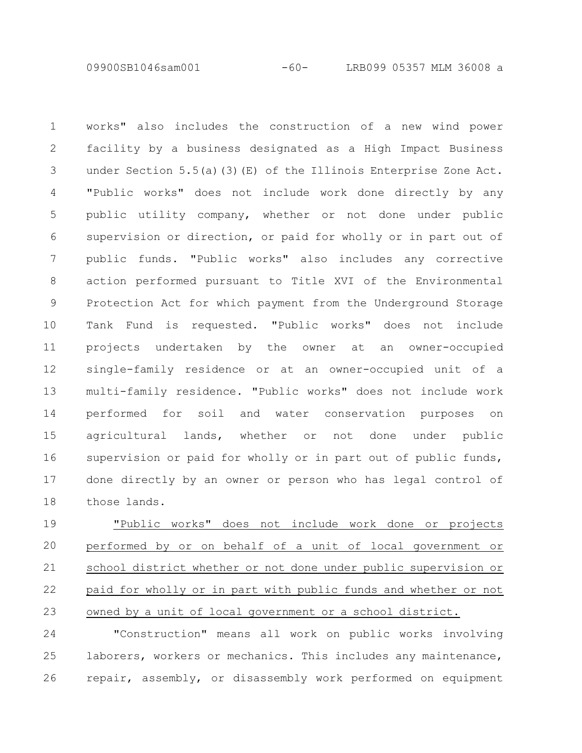09900SB1046sam001 -60- LRB099 05357 MLM 36008 a

works" also includes the construction of a new wind power facility by a business designated as a High Impact Business under Section 5.5(a)(3)(E) of the Illinois Enterprise Zone Act. "Public works" does not include work done directly by any public utility company, whether or not done under public supervision or direction, or paid for wholly or in part out of public funds. "Public works" also includes any corrective action performed pursuant to Title XVI of the Environmental Protection Act for which payment from the Underground Storage Tank Fund is requested. "Public works" does not include projects undertaken by the owner at an owner-occupied single-family residence or at an owner-occupied unit of a multi-family residence. "Public works" does not include work performed for soil and water conservation purposes on agricultural lands, whether or not done under public supervision or paid for wholly or in part out of public funds, done directly by an owner or person who has legal control of those lands. 1 2 3 4 5 6 7 8 9 10 11 12 13 14 15 16 17 18

"Public works" does not include work done or projects performed by or on behalf of a unit of local government or school district whether or not done under public supervision or paid for wholly or in part with public funds and whether or not owned by a unit of local government or a school district. 19 20 21 22 23

"Construction" means all work on public works involving laborers, workers or mechanics. This includes any maintenance, repair, assembly, or disassembly work performed on equipment 24 25 26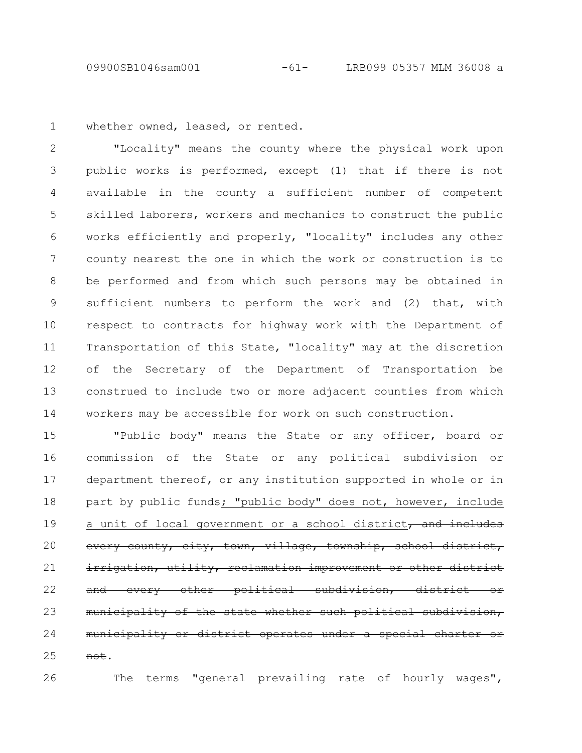09900SB1046sam001 -61- LRB099 05357 MLM 36008 a

whether owned, leased, or rented. 1

"Locality" means the county where the physical work upon public works is performed, except (1) that if there is not available in the county a sufficient number of competent skilled laborers, workers and mechanics to construct the public works efficiently and properly, "locality" includes any other county nearest the one in which the work or construction is to be performed and from which such persons may be obtained in sufficient numbers to perform the work and (2) that, with respect to contracts for highway work with the Department of Transportation of this State, "locality" may at the discretion of the Secretary of the Department of Transportation be construed to include two or more adjacent counties from which workers may be accessible for work on such construction. 2 3 4 5 6 7 8 9 10 11 12 13 14

"Public body" means the State or any officer, board or commission of the State or any political subdivision or department thereof, or any institution supported in whole or in part by public funds; "public body" does not, however, include a unit of local government or a school district, and includes every county, city, town, village, township, school irrigation, utility, reclamation improvement or other every other political subdivision, distri municipality of the state whether such political subdivision, municipality or district operates under a special chart not. 15 16 17 18 19 20 21 22 23 24 25

The terms "general prevailing rate of hourly wages",

26